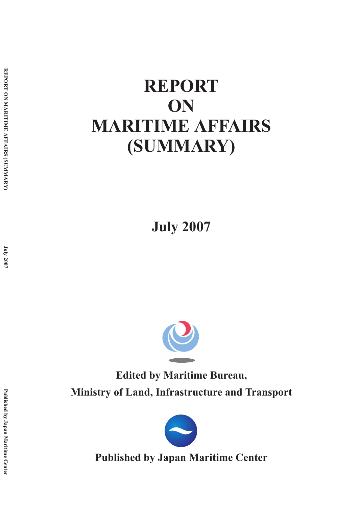# **REPORT ON MARITIME AFFAIRS (SUMMARY)**

**July 2007**



**Edited by Maritime Bureau, Ministry of Land, Infrastructure and Transport**



**Published by Japan Maritime Center**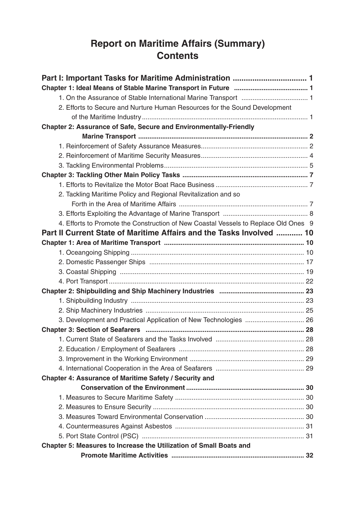## **Report on Maritime Affairs (Summary) Contents**

| 2. Efforts to Secure and Nurture Human Resources for the Sound Development          |  |
|-------------------------------------------------------------------------------------|--|
|                                                                                     |  |
| <b>Chapter 2: Assurance of Safe, Secure and Environmentally-Friendly</b>            |  |
|                                                                                     |  |
|                                                                                     |  |
|                                                                                     |  |
|                                                                                     |  |
|                                                                                     |  |
|                                                                                     |  |
| 2. Tackling Maritime Policy and Regional Revitalization and so                      |  |
|                                                                                     |  |
|                                                                                     |  |
| 4. Efforts to Promote the Construction of New Coastal Vessels to Replace Old Ones 9 |  |
| Part II Current State of Maritime Affairs and the Tasks Involved  10                |  |
|                                                                                     |  |
|                                                                                     |  |
|                                                                                     |  |
|                                                                                     |  |
|                                                                                     |  |
|                                                                                     |  |
|                                                                                     |  |
|                                                                                     |  |
|                                                                                     |  |
|                                                                                     |  |
|                                                                                     |  |
|                                                                                     |  |
|                                                                                     |  |
|                                                                                     |  |
| Chapter 4: Assurance of Maritime Safety / Security and                              |  |
|                                                                                     |  |
|                                                                                     |  |
|                                                                                     |  |
|                                                                                     |  |
|                                                                                     |  |
|                                                                                     |  |
| Chapter 5: Measures to Increase the Utilization of Small Boats and                  |  |
|                                                                                     |  |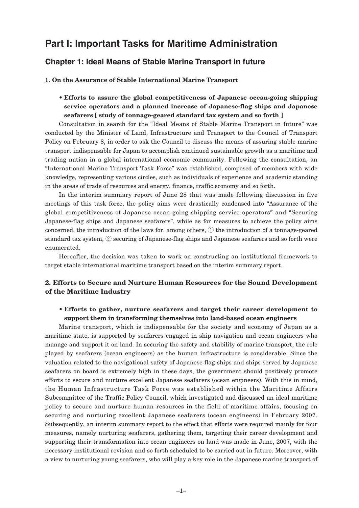### **Part I: Important Tasks for Maritime Administration**

#### **Chapter 1: Ideal Means of Stable Marine Transport in future**

**1. On the Assurance of Stable International Marine Transport**

• **Efforts to assure the global competitiveness of Japanese ocean-going shipping service operators and a planned increase of Japanese-flag ships and Japanese seafarers [ study of tonnage-geared standard tax system and so forth ]**

Consultation in search for the "Ideal Means of Stable Marine Transport in future" was conducted by the Minister of Land, Infrastructure and Transport to the Council of Transport Policy on February 8, in order to ask the Council to discuss the means of assuring stable marine transport indispensable for Japan to accomplish continued sustainable growth as a maritime and trading nation in a global international economic community. Following the consultation, an "International Marine Transport Task Force" was established, composed of members with wide knowledge, representing various circles, such as individuals of experience and academic standing in the areas of trade of resources and energy, finance, traffic economy and so forth.

In the interim summary report of June 28 that was made following discussion in five meetings of this task force, the policy aims were drastically condensed into "Assurance of the global competitiveness of Japanese ocean-going shipping service operators" and "Securing Japanese-flag ships and Japanese seafarers", while as for measures to achieve the policy aims concerned, the introduction of the laws for, among others, ① the introduction of a tonnage-geared standard tax system, ② securing of Japanese-flag ships and Japanese seafarers and so forth were enumerated.

Hereafter, the decision was taken to work on constructing an institutional framework to target stable international maritime transport based on the interim summary report.

#### **2. Efforts to Secure and Nurture Human Resources for the Sound Development of the Maritime Industry**

#### • **Efforts to gather, nurture seafarers and target their career development to support them in transforming themselves into land-based ocean engineers**

Marine transport, which is indispensable for the society and economy of Japan as a maritime state, is supported by seafarers engaged in ship navigation and ocean engineers who manage and support it on land. In securing the safety and stability of marine transport, the role played by seafarers (ocean engineers) as the human infrastructure is considerable. Since the valuation related to the navigational safety of Japanese-flag ships and ships served by Japanese seafarers on board is extremely high in these days, the government should positively promote efforts to secure and nurture excellent Japanese seafarers (ocean engineers). With this in mind, the Human Infrastructure Task Force was established within the Maritime Affairs Subcommittee of the Traffic Policy Council, which investigated and discussed an ideal maritime policy to secure and nurture human resources in the field of maritime affairs, focusing on securing and nurturing excellent Japanese seafarers (ocean engineers) in February 2007. Subsequently, an interim summary report to the effect that efforts were required mainly for four measures, namely nurturing seafarers, gathering them, targeting their career development and supporting their transformation into ocean engineers on land was made in June, 2007, with the necessary institutional revision and so forth scheduled to be carried out in future. Moreover, with a view to nurturing young seafarers, who will play a key role in the Japanese marine transport of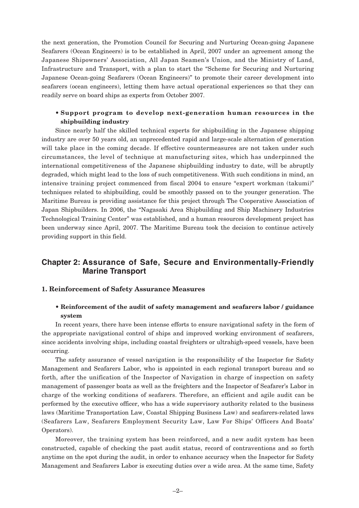the next generation, the Promotion Council for Securing and Nurturing Ocean-going Japanese Seafarers (Ocean Engineers) is to be established in April, 2007 under an agreement among the Japanese Shipowners' Association, All Japan Seamen's Union, and the Ministry of Land, Infrastructure and Transport, with a plan to start the "Scheme for Securing and Nurturing Japanese Ocean-going Seafarers (Ocean Engineers)" to promote their career development into seafarers (ocean engineers), letting them have actual operational experiences so that they can readily serve on board ships as experts from October 2007.

#### • **Support program to develop next-generation human resources in the shipbuilding industry**

Since nearly half the skilled technical experts for shipbuilding in the Japanese shipping industry are over 50 years old, an unprecedented rapid and large-scale alternation of generation will take place in the coming decade. If effective countermeasures are not taken under such circumstances, the level of technique at manufacturing sites, which has underpinned the international competitiveness of the Japanese shipbuilding industry to date, will be abruptly degraded, which might lead to the loss of such competitiveness. With such conditions in mind, an intensive training project commenced from fiscal 2004 to ensure "expert workman (takumi)" techniques related to shipbuilding, could be smoothly passed on to the younger generation. The Maritime Bureau is providing assistance for this project through The Cooperative Association of Japan Shipbuilders. In 2006, the "Nagasaki Area Shipbuilding and Ship Machinery Industries Technological Training Center" was established, and a human resources development project has been underway since April, 2007. The Maritime Bureau took the decision to continue actively providing support in this field.

### **Chapter 2: Assurance of Safe, Secure and Environmentally-Friendly Marine Transport**

#### **1. Reinforcement of Safety Assurance Measures**

#### • **Reinforcement of the audit of safety management and seafarers labor / guidance system**

In recent years, there have been intense efforts to ensure navigational safety in the form of the appropriate navigational control of ships and improved working environment of seafarers, since accidents involving ships, including coastal freighters or ultrahigh-speed vessels, have been occurring.

The safety assurance of vessel navigation is the responsibility of the Inspector for Safety Management and Seafarers Labor, who is appointed in each regional transport bureau and so forth, after the unification of the Inspector of Navigation in charge of inspection on safety management of passenger boats as well as the freighters and the Inspector of Seafarer's Labor in charge of the working conditions of seafarers. Therefore, an efficient and agile audit can be performed by the executive officer, who has a wide supervisory authority related to the business laws (Maritime Transportation Law, Coastal Shipping Business Law) and seafarers-related laws (Seafarers Law, Seafarers Employment Security Law, Law For Ships' Officers And Boats' Operators).

Moreover, the training system has been reinforced, and a new audit system has been constructed, capable of checking the past audit status, record of contraventions and so forth anytime on the spot during the audit, in order to enhance accuracy when the Inspector for Safety Management and Seafarers Labor is executing duties over a wide area. At the same time, Safety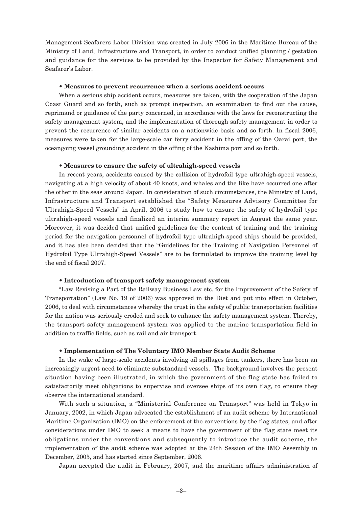Management Seafarers Labor Division was created in July 2006 in the Maritime Bureau of the Ministry of Land, Infrastructure and Transport, in order to conduct unified planning / gestation and guidance for the services to be provided by the Inspector for Safety Management and Seafarer's Labor.

#### • **Measures to prevent recurrence when a serious accident occurs**

When a serious ship accident occurs, measures are taken, with the cooperation of the Japan Coast Guard and so forth, such as prompt inspection, an examination to find out the cause, reprimand or guidance of the party concerned, in accordance with the laws for reconstructing the safety management system, and the implementation of thorough safety management in order to prevent the recurrence of similar accidents on a nationwide basis and so forth. In fiscal 2006, measures were taken for the large-scale car ferry accident in the offing of the Oarai port, the oceangoing vessel grounding accident in the offing of the Kashima port and so forth.

#### • **Measures to ensure the safety of ultrahigh-speed vessels**

In recent years, accidents caused by the collision of hydrofoil type ultrahigh-speed vessels, navigating at a high velocity of about 40 knots, and whales and the like have occurred one after the other in the seas around Japan. In consideration of such circumstances, the Ministry of Land, Infrastructure and Transport established the "Safety Measures Advisory Committee for Ultrahigh-Speed Vessels" in April, 2006 to study how to ensure the safety of hydrofoil type ultrahigh-speed vessels and finalized an interim summary report in August the same year. Moreover, it was decided that unified guidelines for the content of training and the training period for the navigation personnel of hydrofoil type ultrahigh-speed ships should be provided, and it has also been decided that the "Guidelines for the Training of Navigation Personnel of Hydrofoil Type Ultrahigh-Speed Vessels" are to be formulated to improve the training level by the end of fiscal 2007.

#### • **Introduction of transport safety management system**

"Law Revising a Part of the Railway Business Law etc. for the Improvement of the Safety of Transportation" (Law No. 19 of 2006) was approved in the Diet and put into effect in October, 2006, to deal with circumstances whereby the trust in the safety of public transportation facilities for the nation was seriously eroded and seek to enhance the safety management system. Thereby, the transport safety management system was applied to the marine transportation field in addition to traffic fields, such as rail and air transport.

#### • **Implementation of The Voluntary IMO Member State Audit Scheme**

In the wake of large-scale accidents involving oil spillages from tankers, there has been an increasingly urgent need to eliminate substandard vessels. The background involves the present situation having been illustrated, in which the government of the flag state has failed to satisfactorily meet obligations to supervise and oversee ships of its own flag, to ensure they observe the international standard.

With such a situation, a "Ministerial Conference on Transport" was held in Tokyo in January, 2002, in which Japan advocated the establishment of an audit scheme by International Maritime Organization (IMO) on the enforcement of the conventions by the flag states, and after considerations under IMO to seek a means to have the government of the flag state meet its obligations under the conventions and subsequently to introduce the audit scheme, the implementation of the audit scheme was adopted at the 24th Session of the IMO Assembly in December, 2005, and has started since September, 2006.

Japan accepted the audit in February, 2007, and the maritime affairs administration of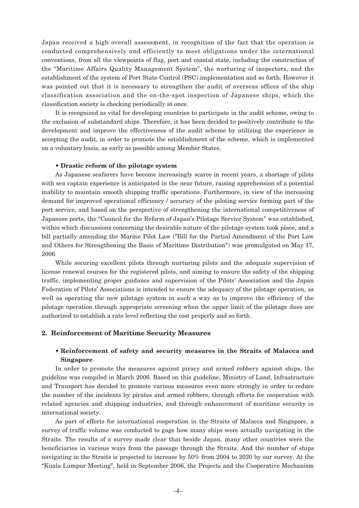Japan received a high overall assessment, in recognition of the fact that the operation is conducted comprehensively and efficiently to meet obligations under the international conventions, from all the viewpoints of flag, port and coastal state, including the construction of the "Maritime Affairs Quality Management System", the nurturing of inspectors, and the establishment of the system of Port State Control (PSC) implementation and so forth. However it was pointed out that it is necessary to strengthen the audit of overseas offices of the ship classification association and the on-the-spot inspection of Japanese ships, which the classification society is checking periodically at once.

It is recognized as vital for developing countries to participate in the audit scheme, owing to the exclusion of substandard ships. Therefore, it has been decided to positively contribute to the development and improve the effectiveness of the audit scheme by utilizing the experience in accepting the audit, in order to promote the establishment of the scheme, which is implemented on a voluntary basis, as early as possible among Member States.

#### • **Drastic reform of the pilotage system**

As Japanese seafarers have become increasingly scarce in recent years, a shortage of pilots with sea captain experience is anticipated in the near future, raising apprehension of a potential inability to maintain smooth shipping traffic operations. Furthermore, in view of the increasing demand for improved operational efficiency / accuracy of the piloting service forming part of the port service, and based on the perspective of strengthening the international competitiveness of Japanese ports, the "Council for the Reform of Japan's Pilotage Service System" was established, within which discussions concerning the desirable nature of the pilotage system took place, and a bill partially amending the Marine Pilot Law ("Bill for the Partial Amendment of the Port Law and Others for Strengthening the Basis of Maritime Distribution") was promulgated on May 17, 2006.

While securing excellent pilots through nurturing pilots and the adequate supervision of license renewal courses for the registered pilots, and aiming to ensure the safety of the shipping traffic, implementing proper guidance and supervision of the Pilots' Association and the Japan Federation of Pilots' Associations is intended to ensure the adequacy of the pilotage operation, as well as operating the new pilotage system in such a way as to improve the efficiency of the pilotage operation through appropriate screening when the upper limit of the pilotage dues are authorized to establish a rate level reflecting the cost properly and so forth.

#### **2. Reinforcement of Maritime Security Measures**

#### • **Reinforcement of safety and security measures in the Straits of Malacca and Singapore**

In order to promote the measures against piracy and armed robbery against ships, the guideline was compiled in March 2006. Based on this guideline, Ministry of Land, Infrastructure and Transport has decided to promote various measures even more strongly in order to reduce the number of the incidents by pirates and armed robbers, through efforts for cooperation with related agencies and shipping industries, and through enhancement of maritime security in international society.

As part of efforts for international cooperation in the Straits of Malacca and Singapore, a survey of traffic volume was conducted to gage how many ships were actually navigating in the Straits. The results of a survey made clear that beside Japan, many other countries were the beneficiaries in various ways from the passage through the Straits. And the number of ships navigating in the Straits is projected to increase by 50% from 2004 to 2020 by our survey. At the "Kuala Lumpur Meeting", held in September 2006, the Projects and the Cooperative Mechanism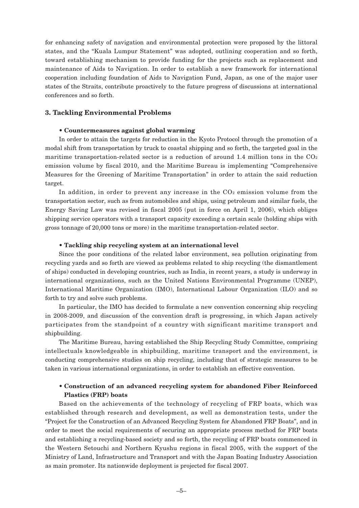for enhancing safety of navigation and environmental protection were proposed by the littoral states, and the "Kuala Lumpur Statement" was adopted, outlining cooperation and so forth, toward establishing mechanism to provide funding for the projects such as replacement and maintenance of Aids to Navigation. In order to establish a new framework for international cooperation including foundation of Aids to Navigation Fund, Japan, as one of the major user states of the Straits, contribute proactively to the future progress of discussions at international conferences and so forth.

#### **3. Tackling Environmental Problems**

#### • **Countermeasures against global warming**

In order to attain the targets for reduction in the Kyoto Protocol through the promotion of a modal shift from transportation by truck to coastal shipping and so forth, the targeted goal in the maritime transportation-related sector is a reduction of around 1.4 million tons in the  $CO<sub>2</sub>$ emission volume by fiscal 2010, and the Maritime Bureau is implementing "Comprehensive Measures for the Greening of Maritime Transportation" in order to attain the said reduction target.

In addition, in order to prevent any increase in the  $CO<sub>2</sub>$  emission volume from the transportation sector, such as from automobiles and ships, using petroleum and similar fuels, the Energy Saving Law was revised in fiscal 2005 (put in force on April 1, 2006), which obliges shipping service operators with a transport capacity exceeding a certain scale (holding ships with gross tonnage of 20,000 tons or more) in the maritime transportation-related sector.

#### • **Tackling ship recycling system at an international level**

Since the poor conditions of the related labor environment, sea pollution originating from recycling yards and so forth are viewed as problems related to ship recycling (the dismantlement of ships) conducted in developing countries, such as India, in recent years, a study is underway in international organizations, such as the United Nations Environmental Programme (UNEP), International Maritime Organization (IMO), International Labour Organization (ILO) and so forth to try and solve such problems.

In particular, the IMO has decided to formulate a new convention concerning ship recycling in 2008-2009, and discussion of the convention draft is progressing, in which Japan actively participates from the standpoint of a country with significant maritime transport and shipbuilding.

The Maritime Bureau, having established the Ship Recycling Study Committee, comprising intellectuals knowledgeable in shipbuilding, maritime transport and the environment, is conducting comprehensive studies on ship recycling, including that of strategic measures to be taken in various international organizations, in order to establish an effective convention.

#### • **Construction of an advanced recycling system for abandoned Fiber Reinforced Plastics (FRP) boats**

Based on the achievements of the technology of recycling of FRP boats, which was established through research and development, as well as demonstration tests, under the "Project for the Construction of an Advanced Recycling System for Abandoned FRP Boats", and in order to meet the social requirements of securing an appropriate process method for FRP boats and establishing a recycling-based society and so forth, the recycling of FRP boats commenced in the Western Setouchi and Northern Kyushu regions in fiscal 2005, with the support of the Ministry of Land, Infrastructure and Transport and with the Japan Boating Industry Association as main promoter. Its nationwide deployment is projected for fiscal 2007.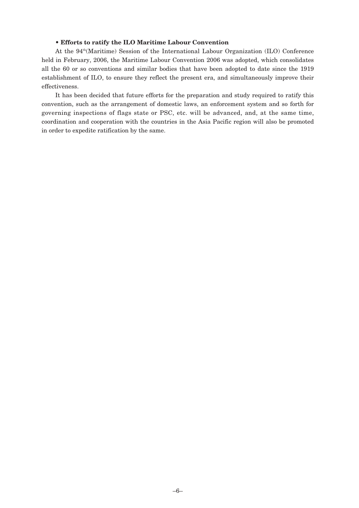#### • **Efforts to ratify the ILO Maritime Labour Convention**

At the  $94<sup>th</sup>$ (Maritime) Session of the International Labour Organization (ILO) Conference held in February, 2006, the Maritime Labour Convention 2006 was adopted, which consolidates all the 60 or so conventions and similar bodies that have been adopted to date since the 1919 establishment of ILO, to ensure they reflect the present era, and simultaneously improve their effectiveness.

It has been decided that future efforts for the preparation and study required to ratify this convention, such as the arrangement of domestic laws, an enforcement system and so forth for governing inspections of flags state or PSC, etc. will be advanced, and, at the same time, coordination and cooperation with the countries in the Asia Pacific region will also be promoted in order to expedite ratification by the same.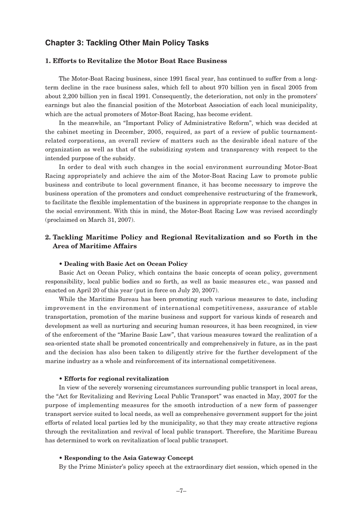#### **Chapter 3: Tackling Other Main Policy Tasks**

#### **1. Efforts to Revitalize the Motor Boat Race Business**

The Motor-Boat Racing business, since 1991 fiscal year, has continued to suffer from a longterm decline in the race business sales, which fell to about 970 billion yen in fiscal 2005 from about 2,200 billion yen in fiscal 1991. Consequently, the deterioration, not only in the promoters' earnings but also the financial position of the Motorboat Association of each local municipality, which are the actual promoters of Motor-Boat Racing, has become evident.

In the meanwhile, an "Important Policy of Administrative Reform", which was decided at the cabinet meeting in December, 2005, required, as part of a review of public tournamentrelated corporations, an overall review of matters such as the desirable ideal nature of the organization as well as that of the subsidizing system and transparency with respect to the intended purpose of the subsidy.

In order to deal with such changes in the social environment surrounding Motor-Boat Racing appropriately and achieve the aim of the Motor-Boat Racing Law to promote public business and contribute to local government finance, it has become necessary to improve the business operation of the promoters and conduct comprehensive restructuring of the framework, to facilitate the flexible implementation of the business in appropriate response to the changes in the social environment. With this in mind, the Motor-Boat Racing Low was revised accordingly (proclaimed on March 31, 2007).

#### **2. Tackling Maritime Policy and Regional Revitalization and so Forth in the Area of Maritime Affairs**

#### • **Dealing with Basic Act on Ocean Policy**

Basic Act on Ocean Policy, which contains the basic concepts of ocean policy, government responsibility, local public bodies and so forth, as well as basic measures etc., was passed and enacted on April 20 of this year (put in force on July 20, 2007).

While the Maritime Bureau has been promoting such various measures to date, including improvement in the environment of international competitiveness, assurance of stable transportation, promotion of the marine business and support for various kinds of research and development as well as nurturing and securing human resources, it has been recognized, in view of the enforcement of the "Marine Basic Law", that various measures toward the realization of a sea-oriented state shall be promoted concentrically and comprehensively in future, as in the past and the decision has also been taken to diligently strive for the further development of the marine industry as a whole and reinforcement of its international competitiveness.

#### • **Efforts for regional revitalization**

In view of the severely worsening circumstances surrounding public transport in local areas, the "Act for Revitalizing and Reviving Local Public Transport" was enacted in May, 2007 for the purpose of implementing measures for the smooth introduction of a new form of passenger transport service suited to local needs, as well as comprehensive government support for the joint efforts of related local parties led by the municipality, so that they may create attractive regions through the revitalization and revival of local public transport. Therefore, the Maritime Bureau has determined to work on revitalization of local public transport.

#### • **Responding to the Asia Gateway Concept**

By the Prime Minister's policy speech at the extraordinary diet session, which opened in the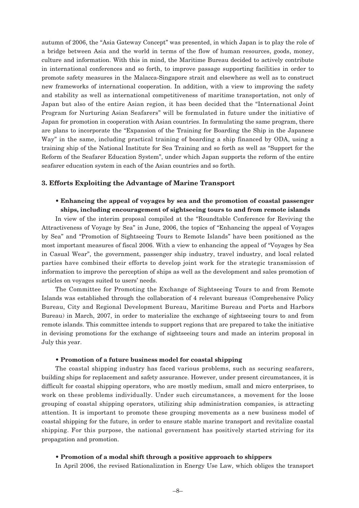autumn of 2006, the "Asia Gateway Concept" was presented, in which Japan is to play the role of a bridge between Asia and the world in terms of the flow of human resources, goods, money, culture and information. With this in mind, the Maritime Bureau decided to actively contribute in international conferences and so forth, to improve passage supporting facilities in order to promote safety measures in the Malacca-Singapore strait and elsewhere as well as to construct new frameworks of international cooperation. In addition, with a view to improving the safety and stability as well as international competitiveness of maritime transportation, not only of Japan but also of the entire Asian region, it has been decided that the "International Joint Program for Nurturing Asian Seafarers" will be formulated in future under the initiative of Japan for promotion in cooperation with Asian countries. In formulating the same program, there are plans to incorporate the "Expansion of the Training for Boarding the Ship in the Japanese Way" in the same, including practical training of boarding a ship financed by ODA, using a training ship of the National Institute for Sea Training and so forth as well as "Support for the Reform of the Seafarer Education System", under which Japan supports the reform of the entire seafarer education system in each of the Asian countries and so forth.

#### **3. Efforts Exploiting the Advantage of Marine Transport**

#### • **Enhancing the appeal of voyages by sea and the promotion of coastal passenger ships, including encouragement of sightseeing tours to and from remote islands**

In view of the interim proposal compiled at the "Roundtable Conference for Reviving the Attractiveness of Voyage by Sea" in June, 2006, the topics of "Enhancing the appeal of Voyages by Sea" and "Promotion of Sightseeing Tours to Remote Islands" have been positioned as the most important measures of fiscal 2006. With a view to enhancing the appeal of "Voyages by Sea in Casual Wear", the government, passenger ship industry, travel industry, and local related parties have combined their efforts to develop joint work for the strategic transmission of information to improve the perception of ships as well as the development and sales promotion of articles on voyages suited to users' needs.

The Committee for Promoting the Exchange of Sightseeing Tours to and from Remote Islands was established through the collaboration of 4 relevant bureaus (Comprehensive Policy Bureau, City and Regional Development Bureau, Maritime Bureau and Ports and Harbors Bureau) in March, 2007, in order to materialize the exchange of sightseeing tours to and from remote islands. This committee intends to support regions that are prepared to take the initiative in devising promotions for the exchange of sightseeing tours and made an interim proposal in July this year.

#### • **Promotion of a future business model for coastal shipping**

The coastal shipping industry has faced various problems, such as securing seafarers, building ships for replacement and safety assurance. However, under present circumstances, it is difficult for coastal shipping operators, who are mostly medium, small and micro enterprises, to work on these problems individually. Under such circumstances, a movement for the loose grouping of coastal shipping operators, utilizing ship administration companies, is attracting attention. It is important to promote these grouping movements as a new business model of coastal shipping for the future, in order to ensure stable marine transport and revitalize coastal shipping. For this purpose, the national government has positively started striving for its propagation and promotion.

#### • **Promotion of a modal shift through a positive approach to shippers**

In April 2006, the revised Rationalization in Energy Use Law, which obliges the transport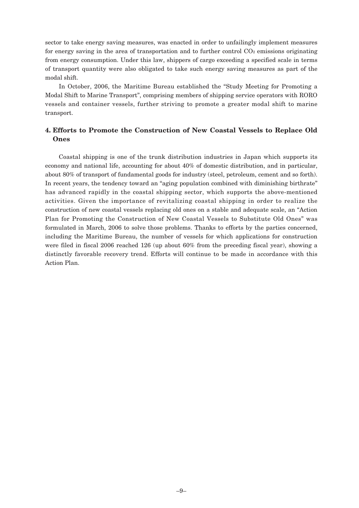sector to take energy saving measures, was enacted in order to unfailingly implement measures for energy saving in the area of transportation and to further control  $CO<sub>2</sub>$  emissions originating from energy consumption. Under this law, shippers of cargo exceeding a specified scale in terms of transport quantity were also obligated to take such energy saving measures as part of the modal shift.

In October, 2006, the Maritime Bureau established the "Study Meeting for Promoting a Modal Shift to Marine Transport", comprising members of shipping service operators with RORO vessels and container vessels, further striving to promote a greater modal shift to marine transport.

#### **4. Efforts to Promote the Construction of New Coastal Vessels to Replace Old Ones**

Coastal shipping is one of the trunk distribution industries in Japan which supports its economy and national life, accounting for about 40% of domestic distribution, and in particular, about 80% of transport of fundamental goods for industry (steel, petroleum, cement and so forth). In recent years, the tendency toward an "aging population combined with diminishing birthrate" has advanced rapidly in the coastal shipping sector, which supports the above-mentioned activities. Given the importance of revitalizing coastal shipping in order to realize the construction of new coastal vessels replacing old ones on a stable and adequate scale, an "Action Plan for Promoting the Construction of New Coastal Vessels to Substitute Old Ones" was formulated in March, 2006 to solve those problems. Thanks to efforts by the parties concerned, including the Maritime Bureau, the number of vessels for which applications for construction were filed in fiscal 2006 reached 126 (up about 60% from the preceding fiscal year), showing a distinctly favorable recovery trend. Efforts will continue to be made in accordance with this Action Plan.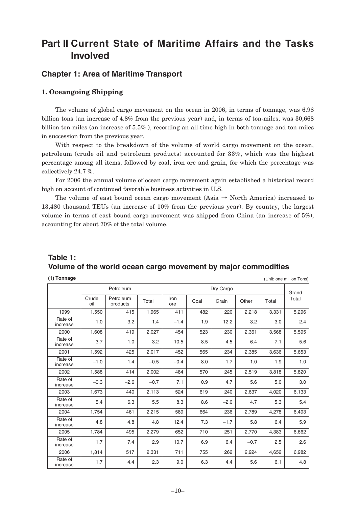### **Part II Current State of Maritime Affairs and the Tasks Involved**

#### **Chapter 1: Area of Maritime Transport**

#### **1. Oceangoing Shipping**

The volume of global cargo movement on the ocean in 2006, in terms of tonnage, was 6.98 billion tons (an increase of 4.8% from the previous year) and, in terms of ton-miles, was 30,668 billion ton-miles (an increase of 5.5% ), recording an all-time high in both tonnage and ton-miles in succession from the previous year.

With respect to the breakdown of the volume of world cargo movement on the ocean, petroleum (crude oil and petroleum products) accounted for 33%, which was the highest percentage among all items, followed by coal, iron ore and grain, for which the percentage was collectively 24.7 %.

For 2006 the annual volume of ocean cargo movement again established a historical record high on account of continued favorable business activities in U.S.

The volume of east bound ocean cargo movement (Asia  $\rightarrow$  North America) increased to 13,480 thousand TEUs (an increase of 10% from the previous year). By country, the largest volume in terms of east bound cargo movement was shipped from China (an increase of 5%), accounting for about 70% of the total volume.

### **Table 1: Volume of the world ocean cargo movement by major commodities**

| (1) Tonnage |  |
|-------------|--|
|             |  |

**(1) Tonnage** (Unit: one million Tons)

|                     |              | Petroleum             |        |             |      | Dry Cargo |        |       | Grand |
|---------------------|--------------|-----------------------|--------|-------------|------|-----------|--------|-------|-------|
|                     | Crude<br>oil | Petroleum<br>products | Total  | Iron<br>ore | Coal | Grain     | Other  | Total | Total |
| 1999                | 1,550        | 415                   | 1,965  | 411         | 482  | 220       | 2,218  | 3,331 | 5,296 |
| Rate of<br>increase | 1.0          | 3.2                   | 1.4    | $-1.4$      | 1.9  | 12.2      | 3.2    | 3.0   | 2.4   |
| 2000                | 1,608        | 419                   | 2,027  | 454         | 523  | 230       | 2,361  | 3,568 | 5,595 |
| Rate of<br>increase | 3.7          | 1.0                   | 3.2    | 10.5        | 8.5  | 4.5       | 6.4    | 7.1   | 5.6   |
| 2001                | 1,592        | 425                   | 2,017  | 452         | 565  | 234       | 2,385  | 3,636 | 5,653 |
| Rate of<br>increase | $-1.0$       | 1.4                   | $-0.5$ | $-0.4$      | 8.0  | 1.7       | 1.0    | 1.9   | 1.0   |
| 2002                | 1,588        | 414                   | 2,002  | 484         | 570  | 245       | 2,519  | 3,818 | 5,820 |
| Rate of<br>increase | $-0.3$       | $-2.6$                | $-0.7$ | 7.1         | 0.9  | 4.7       | 5.6    | 5.0   | 3.0   |
| 2003                | 1,673        | 440                   | 2,113  | 524         | 619  | 240       | 2,637  | 4,020 | 6,133 |
| Rate of<br>increase | 5.4          | 6.3                   | 5.5    | 8.3         | 8.6  | $-2.0$    | 4.7    | 5.3   | 5.4   |
| 2004                | 1,754        | 461                   | 2,215  | 589         | 664  | 236       | 2,789  | 4,278 | 6,493 |
| Rate of<br>increase | 4.8          | 4.8                   | 4.8    | 12.4        | 7.3  | $-1.7$    | 5.8    | 6.4   | 5.9   |
| 2005                | 1,784        | 495                   | 2,279  | 652         | 710  | 251       | 2,770  | 4,383 | 6,662 |
| Rate of<br>increase | 1.7          | 7.4                   | 2.9    | 10.7        | 6.9  | 6.4       | $-0.7$ | 2.5   | 2.6   |
| 2006                | 1,814        | 517                   | 2,331  | 711         | 755  | 262       | 2,924  | 4,652 | 6,982 |
| Rate of<br>increase | 1.7          | 4.4                   | 2.3    | 9.0         | 6.3  | 4.4       | 5.6    | 6.1   | 4.8   |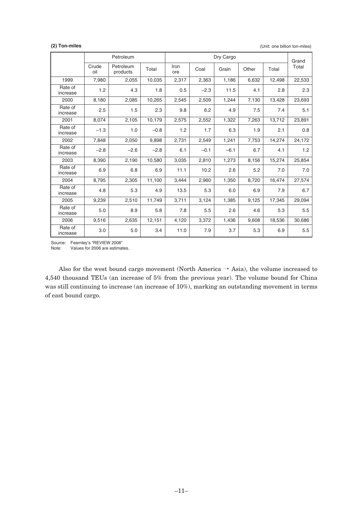**(2) Ton-miles** (Unit: one billion ton-miles)

|                     |              | Petroleum             |        |             |        | Dry Cargo |       |        | Grand  |
|---------------------|--------------|-----------------------|--------|-------------|--------|-----------|-------|--------|--------|
|                     | Crude<br>oil | Petroleum<br>products | Total  | Iron<br>ore | Coal   | Grain     | Other | Total  | Total  |
| 1999                | 7,980        | 2,055                 | 10,035 | 2,317       | 2,363  | 1,186     | 6,632 | 12,498 | 22,533 |
| Rate of<br>increase | 1.2          | 4.3                   | 1.8    | 0.5         | $-2.3$ | 11.5      | 4.1   | 2.8    | 2.3    |
| 2000                | 8,180        | 2,085                 | 10,265 | 2,545       | 2,509  | 1,244     | 7,130 | 13,428 | 23,693 |
| Rate of<br>increase | 2.5          | 1.5                   | 2.3    | 9.8         | 6.2    | 4.9       | 7.5   | 7.4    | 5.1    |
| 2001                | 8,074        | 2,105                 | 10,179 | 2,575       | 2,552  | 1,322     | 7,263 | 13,712 | 23,891 |
| Rate of<br>increase | $-1.3$       | 1.0                   | $-0.8$ | 1.2         | 1.7    | 6.3       | 1.9   | 2.1    | 0.8    |
| 2002                | 7,848        | 2,050                 | 9,898  | 2,731       | 2,549  | 1,241     | 7,753 | 14,274 | 24,172 |
| Rate of<br>increase | $-2.8$       | $-2.6$                | $-2.8$ | 6.1         | $-0.1$ | $-6.1$    | 6.7   | 4.1    | 1.2    |
| 2003                | 8,390        | 2,190                 | 10,580 | 3,035       | 2,810  | 1,273     | 8,156 | 15,274 | 25,854 |
| Rate of<br>increase | 6.9          | 6.8                   | 6.9    | 11.1        | 10.2   | 2.6       | 5.2   | 7.0    | 7.0    |
| 2004                | 8,795        | 2,305                 | 11,100 | 3.444       | 2,960  | 1,350     | 8,720 | 16,474 | 27,574 |
| Rate of<br>increase | 4.8          | 5.3                   | 4.9    | 13.5        | 5.3    | 6.0       | 6.9   | 7.9    | 6.7    |
| 2005                | 9,239        | 2,510                 | 11,749 | 3,711       | 3,124  | 1,385     | 9,125 | 17,345 | 29,094 |
| Rate of<br>increase | 5.0          | 8.9                   | 5.8    | 7.8         | 5.5    | 2.6       | 4.6   | 5.3    | 5.5    |
| 2006                | 9,516        | 2,635                 | 12,151 | 4,120       | 3,372  | 1,436     | 9,608 | 18,536 | 30,686 |
| Rate of<br>increase | 3.0          | 5.0                   | 3.4    | 11.0        | 7.9    | 3.7       | 5.3   | 6.9    | 5.5    |

Source: Fearnley's "REVIEW 2006"

Note: Values for 2006 are estimates.

Also for the west bound cargo movement (North America  $\rightarrow$  Asia), the volume increased to 4,540 thousand TEUs (an increase of 5% from the previous year). The volume bound for China was still continuing to increase (an increase of 10%), marking an outstanding movement in terms of east bound cargo.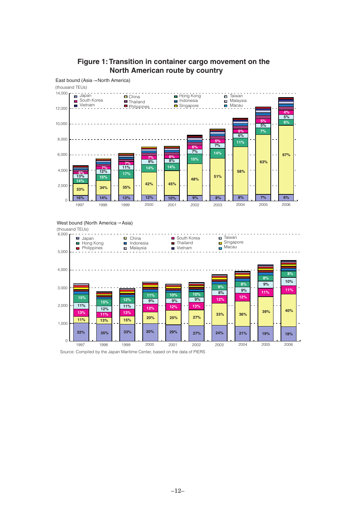

### **Figure 1: Transition in container cargo movement on the North American route by country**

West bound (North America→Asia)



Source: Compiled by the Japan Maritime Center, based on the data of PIERS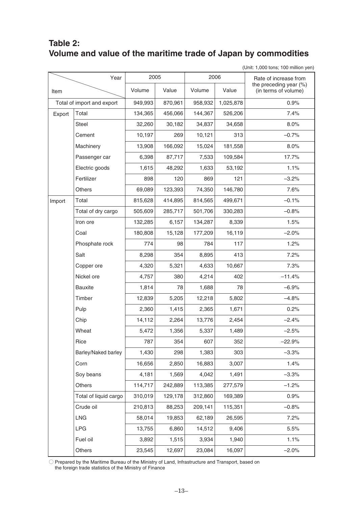### **Table 2: Volume and value of the maritime trade of Japan by commodities**

(Unit: 1,000 tons; 100 million yen)

|        | Year                       | 2005    |         | 2006    |           | Rate of increase from                          |
|--------|----------------------------|---------|---------|---------|-----------|------------------------------------------------|
| Item   |                            | Volume  | Value   | Volume  | Value     | the preceding year (%)<br>(in terms of volume) |
|        | Total of import and export | 949,993 | 870,961 | 958,932 | 1,025,878 | 0.9%                                           |
| Export | Total                      | 134,365 | 456,066 | 144,367 | 526,206   | 7.4%                                           |
|        | Steel                      | 32,260  | 30,182  | 34,837  | 34,658    | 8.0%                                           |
|        | Cement                     | 10,197  | 269     | 10,121  | 313       | $-0.7%$                                        |
|        | Machinery                  | 13,908  | 166,092 | 15,024  | 181,558   | 8.0%                                           |
|        | Passenger car              | 6,398   | 87,717  | 7,533   | 109,584   | 17.7%                                          |
|        | Electric goods             | 1,615   | 48,292  | 1,633   | 53,192    | 1.1%                                           |
|        | Fertilizer                 | 898     | 120     | 869     | 121       | $-3.2%$                                        |
|        | Others                     | 69,089  | 123,393 | 74,350  | 146,780   | 7.6%                                           |
| Import | Total                      | 815,628 | 414,895 | 814,565 | 499,671   | $-0.1%$                                        |
|        | Total of dry cargo         | 505,609 | 285,717 | 501,706 | 330,283   | $-0.8%$                                        |
|        | Iron ore                   | 132,285 | 6,157   | 134,287 | 8,339     | 1.5%                                           |
|        | Coal                       | 180,808 | 15,128  | 177,209 | 16,119    | $-2.0%$                                        |
|        | Phosphate rock             | 774     | 98      | 784     | 117       | 1.2%                                           |
|        | Salt                       | 8,298   | 354     | 8,895   | 413       | 7.2%                                           |
|        | Copper ore                 | 4,320   | 5,321   | 4,633   | 10,667    | 7.3%                                           |
|        | Nickel ore                 | 4,757   | 380     | 4,214   | 402       | $-11.4%$                                       |
|        | <b>Bauxite</b>             | 1,814   | 78      | 1,688   | 78        | $-6.9%$                                        |
|        | Timber                     | 12,839  | 5,205   | 12,218  | 5,802     | $-4.8%$                                        |
|        | Pulp                       | 2,360   | 1,415   | 2,365   | 1,671     | 0.2%                                           |
|        | Chip                       | 14,112  | 2,264   | 13,776  | 2,454     | $-2.4%$                                        |
|        | Wheat                      | 5,472   | 1,356   | 5,337   | 1,489     | $-2.5%$                                        |
|        | Rice                       | 787     | 354     | 607     | 352       | $-22.9%$                                       |
|        | Barley/Naked barley        | 1,430   | 298     | 1,383   | 303       | $-3.3%$                                        |
|        | Corn                       | 16,656  | 2,850   | 16,883  | 3,007     | 1.4%                                           |
|        | Soy beans                  | 4,181   | 1,569   | 4,042   | 1,491     | $-3.3%$                                        |
|        | Others                     | 114,717 | 242,889 | 113,385 | 277,579   | $-1.2%$                                        |
|        | Total of liquid cargo      | 310,019 | 129,178 | 312,860 | 169,389   | 0.9%                                           |
|        | Crude oil                  | 210,813 | 88,253  | 209,141 | 115,351   | $-0.8%$                                        |
|        | <b>LNG</b>                 | 58,014  | 19,853  | 62,189  | 26,595    | 7.2%                                           |
|        | <b>LPG</b>                 | 13,755  | 6,860   | 14,512  | 9,406     | 5.5%                                           |
|        | Fuel oil                   | 3,892   | 1,515   | 3,934   | 1,940     | 1.1%                                           |
|        | Others                     | 23,545  | 12,697  | 23,084  | 16,097    | $-2.0%$                                        |

 $\circlearrowright$  Prepared by the Maritime Bureau of the Ministry of Land, Infrastructure and Transport, based on the foreign trade statistics of the Ministry of Finance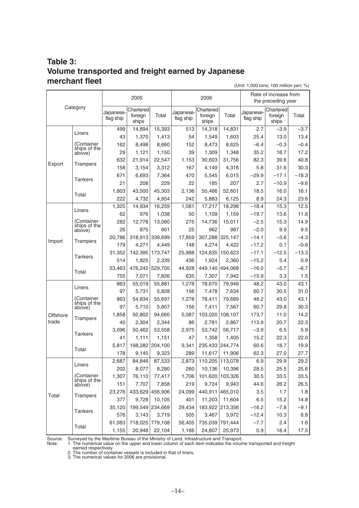#### **Table 3: Volume transported and freight earned by Japanese merchant fleet** (Unit: 1,000 tons; 100 million yen; %)

**Category** Export Liners Total 15,393 **Japanese** flag ship **Chartered** foreign ships 499 14,894 Total  $-3.7$ Japaneseflag ship **Chartered** foreign ships  $2.7$   $-3.9$ 1,803 43,500 45,303 Total 18.5 16.0 16.1 43 1,370 1,413 25.4 13.0 13.4 (Container<br>ships of the<br>above) 162 8,498 8,660 152 8,473 8,625 -6.4 -0.3 -0.4 29 1,121 1,150 39 1,309 1,348 35.2 16.7 17.2 **Trampers** 632 21,914 22,547 1,153 30,603 31,756 82.3 39.6 40.8 158 3,154 3,312 167 4,149 4,316 5.8 31.6 30.3 **Tankers** 671 6,693 7,364 –29.9 –17.1 –18.3 21 208 229 22 185 207 2.7 –10.9 –9.6 222 4,732 4,954 242 5,883 6,125 8.9 24.3 23.6 Import Liners 1,325 14,934 16,259 755| 7,071| 7,826| 635| 7,307| 7,942| –15.9| 3.3| 1.5 1,325 | 14,934 | 16,259 | 11,081 | 17,217 | 18,298 | -18.4 | 15.3 | 12.5 Total 53,463 476,242 529,705<br>7,671 7,826 7,071 7,826  $-16.0$   $-5.7$   $-6.7$ (Container ships of the above) 62 | 976 | 1,038 | 50 | 1,109 | 1,159 | --19.7 | 13.6 | 11.6 282 12,778 13,060 –2.5 15.3 14.9 26 875 901 25 962 987 -2.0 9.9 9.5 Trampers 20,786 318,913 339,699 17,859 307,288 325,147 −14.1 −3.6 −4.3 179 4,271 4,449 –17.2 0.1 –0.6 Tankers 31,352 142,395 173,747 25,988 124,635 150,623 −17.1 −12.5 −13.3 514 1,825 2,339 436 1,924 2,360 –15.2 5.4 0.9 **Offshore** trade Liners 55,881 178 9,145 9,323 289 11,617 11,906 62.3 27.0 27.7 863 55,019 Total  $\begin{array}{c|c|c|c|c|c|c} & 2,687 & 84,846 & 87,533 \ \hline \end{array}$ 17.5 43.1 1,155 20,948 22,104 1,166 24,807 25,973 0.9 18.4 2,687 84,846 48.2 43.0 6.9 29.9 29.2 Total 61,083 718,025 779,108<br>1,155 20,948 22,104 5,817 198,282 204,100 Total 60.6 18.7 19.9 (Container ships of the above) 97 $\mid$  5,731 $\mid$  5,828 $\mid$  156 $\mid$  7,478 $\mid$  7,634 $\mid$  60.7 $\mid$  30.5 $\mid$  31.0 863| 54,834| 55,697| 1,278| 78,411| 79,689| 48.2| 43.0| 43.1 97 $\mid$  5,710 $\mid$  5,807 $\mid$  156 $\mid$  7,411 $\mid$  7,567 $\mid$  60.7 $\mid$  29.8 $\mid$  30.3 Trampers 1,858 92,802 94,660 5,087 103,020 108,107 173.7 11.0 14.2 40 | 2,304 | 2,344 | 86 | 2,781 | 2,867 | 113.9 | 20.7 | 22.3 1.6 Tankers 3,096 50,462 53,558 2,975 53,742 56,717 -3.9 6.5 5.9 41| 1,111| 1,151| 47| 1,358| 1,405| 15.2| 22.3| 22.0  $-7.7$  2.4 (Container ships of the above) 202 8,077 8,280 260 10,136 10,396 28.5 25.5 25.6 1,307 76,110 77,417 1,706 101,620 103,326 30.5 33.5 33.5 151 7,707 7,858 219 9,724 9,943 44.6 26.2 26.5 Trampers 23,276 433,629 456,906 24,099 440,911 465,010 3.5 1.7 1.8 377| 9,728| 10,105| 401| 11,203| 11,604| 6.5| 15.2| 14.8 Tankers 35,120 199,549 234,669 29,434 183,922 213,356 −16.2 −7.8 −9.1 576 3,143 3,719 –12.4 10.3 6.8 Rate of increase from the preceding year Total 14,831 242 5,883 6,125 Japaneseflag ship **Chartered** foreign ships 513 14,318 18,298 635 7,307 7,942 1,081 17,217 44,928 449,140 494,068 2,136 50,466 52,601 54 1,549 1,603 152 8,473 8,625 39 1,309 1,348 1,153 30,603 31,756 167 4,149 4,316 470 5,545 6,015 22 185 207 50 1,109 1,159 275 14,736 15,011 25 962 987 17,859 307,288 325,147 148 4,274 4,422 25,988 124,635 150,623 436 1,924 2,360 79,948 289 11,617 11,906 1,278 78,670 113,078 1,166 24,807 25,973 2,873 110,205 56,405 735,039 791,444 9,341 235,433 244,774 156 7,478 7,634 1,278 78,411 79,689 156 7,411 7,567 5,087 103,020 108,107 86 2,781 2,867 2,975 53,742 56,717 47 1,358 1,405 260 10,136 10,396 1,706 101,620 103,326 219 9,724 9,943 24,099 440,911 465,010 401 11,203 11,604 29,434 183,922 213,356 505 3,467 3,972 2005 2006

Source: Surveyed by the Maritime Bureau of the Ministry of Land, Infrastructure and Transport.<br>Note: 1. The numerical value on the upper and lower column of each item indicates the volur

1. The numerical value on the upper and lower column of each item indicates the volume transported and freight

earned respectively.

2. The number of container vessels is included in that of liners.

3. The numerical values for 2006 are provisional.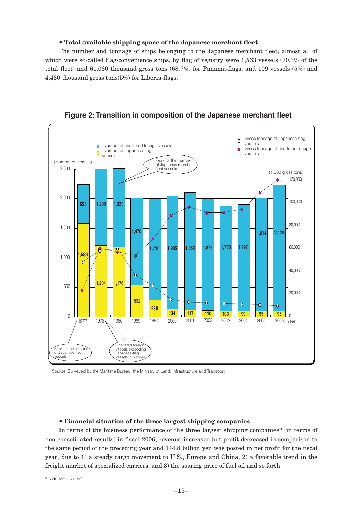#### • **Total available shipping space of the Japanese merchant fleet**

The number and tonnage of ships belonging to the Japanese merchant fleet, almost all of which were so-called flag-convenience ships, by flag of registry were 1,563 vessels (70.3% of the total fleet) and 61,060 thousand gross tons (68.7%) for Panama-flags, and 109 vessels (5%) and 4,430 thousand gross tons(5%) for Liberia-flags.



**Figure 2: Transition in composition of the Japanese merchant fleet**

Source: Surveyed by the Maritime Bureau, the Ministry of Land, Infrastructure and Transport

#### • **Financial situation of the three largest shipping companies**

In terms of the business performance of the three largest shipping companies\* (in terms of non-consolidated results) in fiscal 2006, revenue increased but profit decreased in comparison to the same period of the preceding year and 144.8 billion yen was posted in net profit for the fiscal year, due to 1) a steady cargo movement to U.S., Europe and China, 2) a favorable trend in the freight market of specialized carriers, and 3) the soaring price of fuel oil and so forth.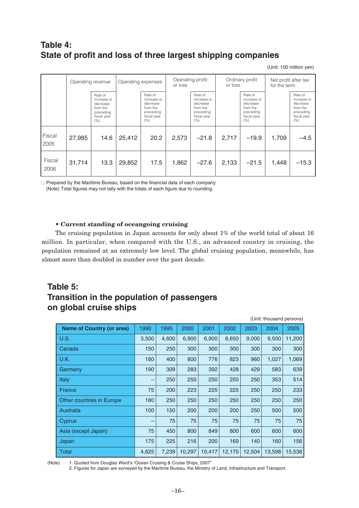### **Table 4: State of profit and loss of three largest shipping companies**

(Unit: 100 million yen)

|                | Operating revenue |                                                                                    | Operating expenses |                                                                                    | Operating profit<br>or loss |                                                                                    | Ordinary profit<br>or loss |                                                                                    | Net profit after tax<br>for the term |                                                                                    |
|----------------|-------------------|------------------------------------------------------------------------------------|--------------------|------------------------------------------------------------------------------------|-----------------------------|------------------------------------------------------------------------------------|----------------------------|------------------------------------------------------------------------------------|--------------------------------------|------------------------------------------------------------------------------------|
|                |                   | Rate of<br>increase or<br>decrease<br>from the<br>preceding<br>fiscal year<br>(% ) |                    | Rate of<br>increase or<br>decrease<br>from the<br>precedina<br>fiscal year<br>(% ) |                             | Rate of<br>increase or<br>decrease<br>from the<br>preceding<br>fiscal year<br>(% ) |                            | Rate of<br>increase or<br>decrease<br>from the<br>preceding<br>fiscal year<br>(% ) |                                      | Rate of<br>increase or<br>decrease<br>from the<br>preceding<br>fiscal year<br>(% ) |
| Fiscal<br>2005 | 27,985            | 14.6                                                                               | 25,412             | 20.2                                                                               | 2,573                       | $-21.8$                                                                            | 2,717                      | $-19.9$                                                                            | 1.709                                | $-4.5$                                                                             |
| Fiscal<br>2006 | 31,714            | 13.3                                                                               | 29,852             | 17.5                                                                               | 1,862                       | $-27.6$                                                                            | 2,133                      | $-21.5$                                                                            | 1,448                                | $-15.3$                                                                            |

○ Prepared by the Maritime Bureau, based on the financial data of each company (Note) Total figures may not tally with the totals of each figure due to rounding.

#### • **Current standing of oceangoing cruising**

The cruising population in Japan accounts for only about 1% of the world total of about 16 million. In particular, when compared with the U.S., an advanced country in cruising, the population remained at an extremely low level. The global cruising population, meanwhile, has almost more than doubled in number over the past decade.

### **Table 5: Transition in the population of passengers on global cruise ships**

| (Unit: thousand persons)         |       |       |        |        |        |        |        |        |  |  |  |  |
|----------------------------------|-------|-------|--------|--------|--------|--------|--------|--------|--|--|--|--|
| <b>Name of Country (or area)</b> | 1990  | 1995  | 2000   | 2001   | 2002   | 2003   | 2004   | 2005   |  |  |  |  |
| U.S.                             | 3,500 | 4,600 | 6,900  | 6,900  | 8,650  | 9,000  | 9,500  | 11,200 |  |  |  |  |
| Canada                           | 150   | 250   | 300    | 300    | 300    | 300    | 300    | 300    |  |  |  |  |
| . U.K.                           | 180   | 400   | 800    | 776    | 823    | 960    | 1,027  | 1,069  |  |  |  |  |
| Germany                          | 190   | 309   | 283    | 392    | 428    | 429    | 583    | 639    |  |  |  |  |
| Italy                            |       | 250   | 250    | 250    | 250    | 250    | 353    | 514    |  |  |  |  |
| <b>France</b>                    | 75    | 200   | 223    | 225    | 225    | 250    | 250    | 233    |  |  |  |  |
| <b>Other countries in Europe</b> | 180   | 250   | 250    | 250    | 250    | 250    | 250    | 250    |  |  |  |  |
| Australia                        | 100   | 150   | 200    | 200    | 200    | 250    | 500    | 500    |  |  |  |  |
| Cyprus                           |       | 75    | 75     | 75     | 75     | 75     | 75     | 75     |  |  |  |  |
| Asia (except Japan)              | 75    | 450   | 800    | 849    | 800    | 600    | 600    | 600    |  |  |  |  |
| Japan                            | 175   | 225   | 216    | 200    | 169    | 140    | 160    | 156    |  |  |  |  |
| Total                            | 4,625 | 7,239 | 10,297 | 10.417 | 12,170 | 12.504 | 13,598 | 15,536 |  |  |  |  |

(Note) 1. Quoted from Douglas Ward's "Ocean Cruising & Cruise Ships, 2007"

2. Figures for Japan are surveyed by the Maritime Bureau, the Ministry of Land, Infrastructure and Transport.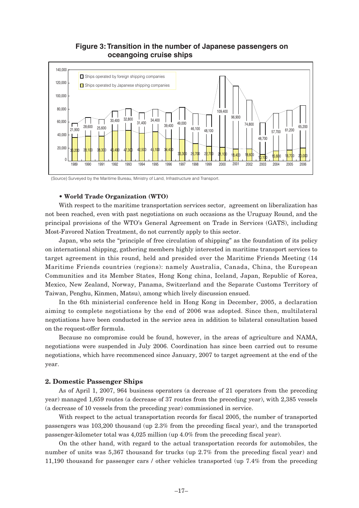

## **Figure 3: Transition in the number of Japanese passengers on**

(Source) Surveyed by the Maritime Bureau, Ministry of Land, Infrastructure and Transport.

42,500

4b,100

34,400

47,300

#### • **World Trade Organization (WTO)**

46,400

20,000

 $\overline{0}$ 

36,200

38,100

38,300

With respect to the maritime transportation services sector, agreement on liberalization has not been reached, even with past negotiations on such occasions as the Uruguay Round, and the principal provisions of the WTO's General Agreement on Trade in Services (GATS), including Most-Favored Nation Treatment, do not currently apply to this sector.

1989 1990 1991 1992 1993 1994 1995 1996 1997 1998 1999 2000 2001 2002 2003 2004 2005 2006

26,700

22,700

2<mark>1,14</mark>0 18,400

18,600

48,700

10,100

1**p,60**0

16,700

20,000

33,300

Japan, who sets the "principle of free circulation of shipping" as the foundation of its policy on international shipping, gathering members highly interested in maritime transport services to target agreement in this round, held and presided over the Maritime Friends Meeting (14 Maritime Friends countries (regions): namely Australia, Canada, China, the European Communities and its Member States, Hong Kong china, Iceland, Japan, Republic of Korea, Mexico, New Zealand, Norway, Panama, Switzerland and the Separate Customs Territory of Taiwan, Penghu, Kinmen, Matsu), among which lively discussion ensued.

In the 6th ministerial conference held in Hong Kong in December, 2005, a declaration aiming to complete negotiations by the end of 2006 was adopted. Since then, multilateral negotiations have been conducted in the service area in addition to bilateral consultation based on the request-offer formula.

Because no compromise could be found, however, in the areas of agriculture and NAMA, negotiations were suspended in July 2006. Coordination has since been carried out to resume negotiations, which have recommenced since January, 2007 to target agreement at the end of the year.

#### **2. Domestic Passenger Ships**

As of April 1, 2007, 964 business operators (a decrease of 21 operators from the preceding year) managed 1,659 routes (a decrease of 37 routes from the preceding year), with 2,385 vessels (a decrease of 10 vessels from the preceding year) commissioned in service.

With respect to the actual transportation records for fiscal 2005, the number of transported passengers was 103,200 thousand (up 2.3% from the preceding fiscal year), and the transported passenger-kilometer total was 4,025 million (up 4.0% from the preceding fiscal year).

On the other hand, with regard to the actual transportation records for automobiles, the number of units was 5,367 thousand for trucks (up 2.7% from the preceding fiscal year) and 11,190 thousand for passenger cars / other vehicles transported (up 7.4% from the preceding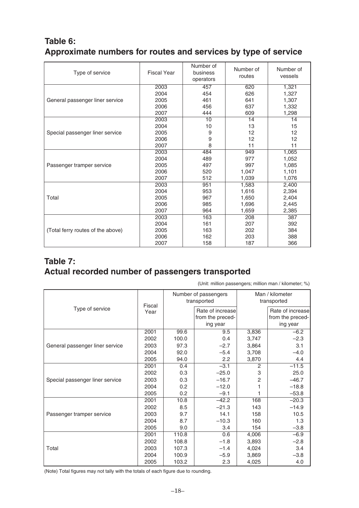### **Table 6: Approximate numbers for routes and services by type of service**

| Type of service                   | <b>Fiscal Year</b> | Number of<br>business<br>operators | Number of<br>routes | Number of<br>vessels |
|-----------------------------------|--------------------|------------------------------------|---------------------|----------------------|
|                                   | 2003               | 457                                | 620                 | 1,321                |
|                                   | 2004               | 454                                | 626                 | 1,327                |
| General passenger liner service   | 2005               | 461                                | 641                 | 1,307                |
|                                   | 2006               | 456                                | 637                 | 1,332                |
|                                   | 2007               | 444                                | 609                 | 1,298                |
|                                   | 2003               | 10                                 | 14                  | 14                   |
|                                   | 2004               | 10                                 | 13                  | 15                   |
| Special passenger liner service   | 2005               | 9                                  | 12                  | 12                   |
|                                   | 2006               | 9                                  | 12                  | 12                   |
|                                   | 2007               | 8                                  | 11                  | 11                   |
|                                   | 2003               | 484                                | 949                 | 1,065                |
|                                   | 2004               | 489                                | 977                 | 1,052                |
| Passenger tramper service         | 2005               | 497                                | 997                 | 1,085                |
|                                   | 2006               | 520                                | 1,047               | 1,101                |
|                                   | 2007               | 512                                | 1,039               | 1,076                |
|                                   | 2003               | 951                                | 1,583               | 2,400                |
|                                   | 2004               | 953                                | 1,616               | 2,394                |
| Total                             | 2005               | 967                                | 1,650               | 2,404                |
|                                   | 2006               | 985                                | 1,696               | 2,445                |
|                                   | 2007               | 964                                | 1,659               | 2,385                |
|                                   | 2003               | 163                                | 208                 | 387                  |
|                                   | 2004               | 161                                | 207                 | 392                  |
| (Total ferry routes of the above) | 2005               | 163                                | 202                 | 384                  |
|                                   | 2006               | 162                                | 203                 | 388                  |
|                                   | 2007               | 158                                | 187                 | 366                  |

### **Table 7: Actual recorded number of passengers transported**

| $\overline{0}$ and the computer section of $\overline{0}$ and $\overline{0}$ and $\overline{0}$ and $\overline{0}$ and $\overline{0}$ and $\overline{0}$ and $\overline{0}$ and $\overline{0}$ and $\overline{0}$ and $\overline{0}$ and $\overline{0}$ and $\overline{0}$ and $\overline{0}$ and $\overline{0}$ and $\$ |        |       |                                     |                                |                  |  |  |  |  |  |
|--------------------------------------------------------------------------------------------------------------------------------------------------------------------------------------------------------------------------------------------------------------------------------------------------------------------------|--------|-------|-------------------------------------|--------------------------------|------------------|--|--|--|--|--|
|                                                                                                                                                                                                                                                                                                                          | Fiscal |       | Number of passengers<br>transported | Man / kilometer<br>transported |                  |  |  |  |  |  |
| Type of service                                                                                                                                                                                                                                                                                                          | Year   |       | Rate of increase                    |                                | Rate of increase |  |  |  |  |  |
|                                                                                                                                                                                                                                                                                                                          |        |       | from the preced-                    |                                | from the preced- |  |  |  |  |  |
|                                                                                                                                                                                                                                                                                                                          |        |       | ing year                            |                                | ing year         |  |  |  |  |  |
|                                                                                                                                                                                                                                                                                                                          | 2001   | 99.6  | 9.5                                 | 3,836                          | $-6.2$           |  |  |  |  |  |
|                                                                                                                                                                                                                                                                                                                          | 2002   | 100.0 | 0.4                                 | 3,747                          | $-2.3$           |  |  |  |  |  |
| General passenger liner service                                                                                                                                                                                                                                                                                          | 2003   | 97.3  | $-2.7$                              | 3,864                          | 3.1              |  |  |  |  |  |
|                                                                                                                                                                                                                                                                                                                          | 2004   | 92.0  | $-5.4$                              | 3,708                          | $-4.0$           |  |  |  |  |  |
|                                                                                                                                                                                                                                                                                                                          | 2005   | 94.0  | 2.2                                 | 3,870                          | 4.4              |  |  |  |  |  |
|                                                                                                                                                                                                                                                                                                                          | 2001   | 0.4   | $-3.1$                              | 2                              | $-11.5$          |  |  |  |  |  |
|                                                                                                                                                                                                                                                                                                                          | 2002   | 0.3   | $-25.0$                             | 3                              | 25.0             |  |  |  |  |  |
| Special passenger liner service                                                                                                                                                                                                                                                                                          | 2003   | 0.3   | $-16.7$                             | 2                              | $-46.7$          |  |  |  |  |  |
|                                                                                                                                                                                                                                                                                                                          | 2004   | 0.2   | $-12.0$                             |                                | $-18.8$          |  |  |  |  |  |
|                                                                                                                                                                                                                                                                                                                          | 2005   | 0.2   | $-9.1$                              | 1                              | $-53.8$          |  |  |  |  |  |
|                                                                                                                                                                                                                                                                                                                          | 2001   | 10.8  | $-42.2$                             | 168                            | $-20.3$          |  |  |  |  |  |
|                                                                                                                                                                                                                                                                                                                          | 2002   | 8.5   | $-21.3$                             | 143                            | $-14.9$          |  |  |  |  |  |
| Passenger tramper service                                                                                                                                                                                                                                                                                                | 2003   | 9.7   | 14.1                                | 158                            | 10.5             |  |  |  |  |  |
|                                                                                                                                                                                                                                                                                                                          | 2004   | 8.7   | $-10.3$                             | 160                            | 1.3              |  |  |  |  |  |
|                                                                                                                                                                                                                                                                                                                          | 2005   | 9.0   | 3.4                                 | 154                            | $-3.8$           |  |  |  |  |  |
|                                                                                                                                                                                                                                                                                                                          | 2001   | 110.8 | 0.6                                 | 4,006                          | $-6.9$           |  |  |  |  |  |
|                                                                                                                                                                                                                                                                                                                          | 2002   | 108.8 | $-1.8$                              | 3,893                          | $-2.8$           |  |  |  |  |  |
| Total                                                                                                                                                                                                                                                                                                                    | 2003   | 107.3 | $-1.4$                              | 4,024                          | 3.4              |  |  |  |  |  |
|                                                                                                                                                                                                                                                                                                                          | 2004   | 100.9 | $-5.9$                              | 3,869                          | $-3.8$           |  |  |  |  |  |
|                                                                                                                                                                                                                                                                                                                          | 2005   | 103.2 | 2.3                                 | 4,025                          | 4.0              |  |  |  |  |  |

(Unit: million passengers; million man / kilometer; %)

(Note) Total figures may not tally with the totals of each figure due to rounding.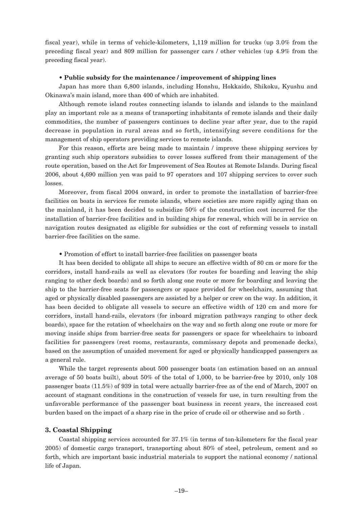fiscal year), while in terms of vehicle-kilometers, 1,119 million for trucks (up 3.0% from the preceding fiscal year) and 809 million for passenger cars / other vehicles (up 4.9% from the preceding fiscal year).

#### • **Public subsidy for the maintenance / improvement of shipping lines**

Japan has more than 6,800 islands, including Honshu, Hokkaido, Shikoku, Kyushu and Okinawa's main island, more than 400 of which are inhabited.

Although remote island routes connecting islands to islands and islands to the mainland play an important role as a means of transporting inhabitants of remote islands and their daily commodities, the number of passengers continues to decline year after year, due to the rapid decrease in population in rural areas and so forth, intensifying severe conditions for the management of ship operators providing services to remote islands.

For this reason, efforts are being made to maintain / improve these shipping services by granting such ship operators subsidies to cover losses suffered from their management of the route operation, based on the Act for Improvement of Sea Routes at Remote Islands. During fiscal 2006, about 4,690 million yen was paid to 97 operators and 107 shipping services to cover such losses.

Moreover, from fiscal 2004 onward, in order to promote the installation of barrier-free facilities on boats in services for remote islands, where societies are more rapidly aging than on the mainland, it has been decided to subsidize 50% of the construction cost incurred for the installation of barrier-free facilities and in building ships for renewal, which will be in service on navigation routes designated as eligible for subsidies or the cost of reforming vessels to install barrier-free facilities on the same.

• Promotion of effort to install barrier-free facilities on passenger boats

It has been decided to obligate all ships to secure an effective width of 80 cm or more for the corridors, install hand-rails as well as elevators (for routes for boarding and leaving the ship ranging to other deck boards) and so forth along one route or more for boarding and leaving the ship to the barrier-free seats for passengers or space provided for wheelchairs, assuming that aged or physically disabled passengers are assisted by a helper or crew on the way. In addition, it has been decided to obligate all vessels to secure an effective width of 120 cm and more for corridors, install hand-rails, elevators (for inboard migration pathways ranging to other deck boards), space for the rotation of wheelchairs on the way and so forth along one route or more for moving inside ships from barrier-free seats for passengers or space for wheelchairs to inboard facilities for passengers (rest rooms, restaurants, commissary depots and promenade decks), based on the assumption of unaided movement for aged or physically handicapped passengers as a general rule.

While the target represents about 500 passenger boats (an estimation based on an annual average of 50 boats built), about 50% of the total of 1,000, to be barrier-free by 2010, only 108 passenger boats (11.5%) of 939 in total were actually barrier-free as of the end of March, 2007 on account of stagnant conditions in the construction of vessels for use, in turn resulting from the unfavorable performance of the passenger boat business in recent years, the increased cost burden based on the impact of a sharp rise in the price of crude oil or otherwise and so forth .

#### **3. Coastal Shipping**

Coastal shipping services accounted for 37.1% (in terms of ton-kilometers for the fiscal year 2005) of domestic cargo transport, transporting about 80% of steel, petroleum, cement and so forth, which are important basic industrial materials to support the national economy / national life of Japan.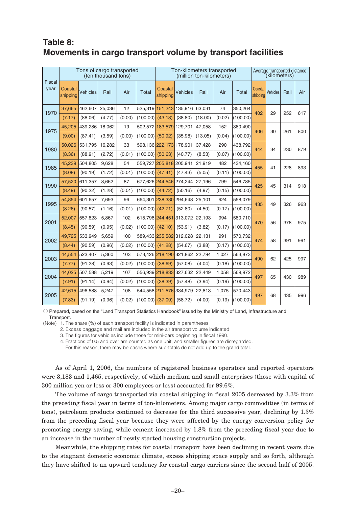### **Table 8: Movements in cargo transport volume by transport facilities**

|                       |                     | Tons of cargo transported | (ten thousand tons) |        |                 |                         | Ton-kilometers transported | (million ton-kilometers) |        |          |                     | Average transported distance<br>(kilometers) |      |     |
|-----------------------|---------------------|---------------------------|---------------------|--------|-----------------|-------------------------|----------------------------|--------------------------|--------|----------|---------------------|----------------------------------------------|------|-----|
| <b>Fiscal</b><br>year | Coastal<br>shipping | Vehicles                  | Rail                | Air    | Total           | Coastal<br>shipping     | <b>Vehicles</b>            | Rail                     | Air    | Total    | Coastal<br>shipping | Vehicles                                     | Rail | Air |
| 1970                  | 37,665              | 462,607                   | 25,036              | 12     |                 |                         | 525,319 151,243 135,916    | 63,031                   | 74     | 350,264  | 402                 | 29                                           | 252  | 617 |
|                       | (7.17)              | (88.06)                   | (4.77)              | (0.00) | (100.00)        | (43.18)                 | (38.80)                    | (18.00)                  | (0.02) | (100.00) |                     |                                              |      |     |
| 1975                  | 45,205              | 439,286                   | 18,062              | 19     |                 | 502,572 183,579         | 129,701                    | 47,058                   | 152    | 360,490  | 406                 | 30                                           | 261  | 800 |
|                       | (9.00)              | (87.41)                   | (3.59)              | (0.00) | (100.00)        | (50.92)                 | (35.98)                    | (13.05)                  | (0.04) | (100.00) |                     |                                              |      |     |
| 1980                  | 50,026              | 531,795                   | 16,282              | 33     |                 | 598,136 222,173 178,901 |                            | 37,428                   | 290    | 438,792  | 444                 | 34                                           | 230  | 879 |
|                       | (8.36)              | (88.91)                   | (2.72)              | (0.01) | (100.00)        | (50.63)                 | (40.77)                    | (8.53)                   | (0.07) | (100.00) |                     |                                              |      |     |
| 1985                  | 45.239              | 504,805                   | 9.628               | 54     |                 | 559,727 205,818 205,941 |                            | 21,919                   | 482    | 434,160  | 455                 | 41                                           | 228  | 893 |
|                       | (8.08)              | (90.19)                   | (1.72)              | (0.01) | (100.00)        | (47.41)                 | (47.43)                    | (5.05)                   | (0.11) | (100.00) |                     |                                              |      |     |
| 1990                  | 57,520              | 611,357                   | 8.662               | 87     |                 | 677,626 244,546 274,244 |                            | 27,196                   | 799    | 546,785  | 425                 | 45                                           | 314  | 918 |
|                       | (8.49)              | (90.22)                   | (1.28)              | (0.01) | (100.00)        | (44.72)                 | (50.16)                    | (4.97)                   | (0.15) | (100.00) |                     |                                              |      |     |
| 1995                  | 54.854              | 601,657                   | 7,693               | 96     |                 | 664,301 238,330 294,648 |                            | 25,101                   | 924    | 558,079  | 435                 | 49                                           | 326  | 963 |
|                       | (8.26)              | (90.57)                   | (1.16)              | (0.01) | (100.00)        | (42.71)                 | (52.80)                    | (4.50)                   | (0.17) | (100.00) |                     |                                              |      |     |
| 2001                  | 52,007              | 557,823                   | 5,867               | 102    | 615,798 244,451 |                         | 313,072                    | 22,193                   | 994    | 580,710  | 470                 | 56                                           | 378  | 975 |
|                       | (8.45)              | (90.59)                   | (0.95)              | (0.02) | (100.00)        | (42.10)                 | (53.91)                    | (3.82)                   | (0.17) | (100.00) |                     |                                              |      |     |
| 2002                  | 49,725              | 533,949                   | 5,659               | 100    |                 | 589,433 235,582         | 312,028                    | 22,131                   | 991    | 570,732  | 474                 | 58                                           | 391  | 991 |
|                       | (8.44)              | (90.59)                   | (0.96)              | (0.02) | (100.00)        | (41.28)                 | (54.67)                    | (3.88)                   | (0.17) | (100.00) |                     |                                              |      |     |
| 2003                  | 44,554              | 523,407                   | 5,360               | 103    |                 | 573,426 218,190 321,862 |                            | 22,794                   | 1,027  | 563,873  | 490                 | 62                                           | 425  | 997 |
|                       | (7.77)              | (91.28)                   | (0.93)              | (0.02) | (100.00)        | (38.69)                 | (57.08)                    | (4.04)                   | (0.18) | (100.00) |                     |                                              |      |     |
| 2004                  | 44,025              | 507,588                   | 5,219               | 107    |                 | 556,939 218,833         | 327,632                    | 22,449                   | 1,058  | 569,972  | 497                 | 65                                           | 430  | 989 |
|                       | (7.91)              | (91.14)                   | (0.94)              | (0.02) | (100.00)        | (38.39)                 | (57.48)                    | (3.94)                   | (0.19) | (100.00) |                     |                                              |      |     |
| 2005                  | 42,615              | 496,588                   | 5,247               | 108    |                 | 544,558 211,576         | 334,979                    | 22,813                   | 1,075  | 570,443  | 497                 | 68                                           | 435  | 996 |
|                       | (7.83)              | (91.19)                   | (0.96)              | (0.02) | (100.00)        | (37.09)                 | (58.72)                    | (4.00)                   | (0.19) | (100.00) |                     |                                              |      |     |

○ Prepared, based on the "Land Transport Statistics Handbook" issued by the Ministry of Land, Infrastructure and Transport.

(Note) 1. The share (%) of each transport facility is indicated in parentheses.

2. Excess baggage and mail are included in the air transport volume indicated.

3. The figures for vehicles include those for mini-cars beginning in fiscal 1990.

4. Fractions of 0.5 and over are counted as one unit, and smaller figures are disregarded.

For this reason, there may be cases where sub-totals do not add up to the grand total.

As of April 1, 2006, the numbers of registered business operators and reported operators were 3,183 and 1,465, respectively, of which medium and small enterprises (those with capital of 300 million yen or less or 300 employees or less) accounted for 99.6%.

The volume of cargo transported via coastal shipping in fiscal 2005 decreased by 3.3% from the preceding fiscal year in terms of ton-kilometers. Among major cargo commodities (in terms of tons), petroleum products continued to decrease for the third successive year, declining by 1.3% from the preceding fiscal year because they were affected by the energy conversion policy for promoting energy saving, while cement increased by 1.8% from the preceding fiscal year due to an increase in the number of newly started housing construction projects.

Meanwhile, the shipping rates for coastal transport have been declining in recent years due to the stagnant domestic economic climate, excess shipping space supply and so forth, although they have shifted to an upward tendency for coastal cargo carriers since the second half of 2005.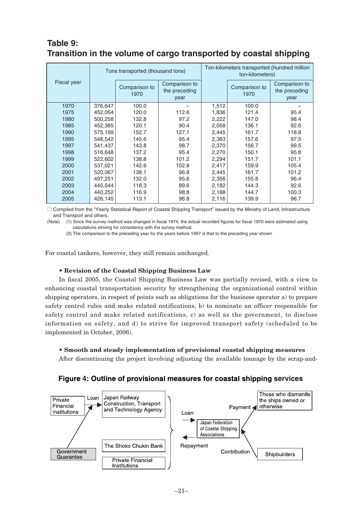### **Table 9: Transition in the volume of cargo transported by coastal shipping**

|             |         | Tons transported (thousand tons) |                                                                 | Ton-kilometers transported (hundred million<br>ton-kilometers) |                       |                                        |  |  |
|-------------|---------|----------------------------------|-----------------------------------------------------------------|----------------------------------------------------------------|-----------------------|----------------------------------------|--|--|
| Fiscal year |         |                                  | Comparison to<br>Comparison to<br>the preceding<br>1970<br>year |                                                                | Comparison to<br>1970 | Comparison to<br>the preceding<br>year |  |  |
| 1970        | 376,647 | 100.0                            |                                                                 | 1,512                                                          | 100.0                 |                                        |  |  |
| 1975        | 452,054 | 120.0                            | 112.6                                                           | 1,836                                                          | 121.4                 | 95.4                                   |  |  |
| 1980        | 500,258 | 132.8                            | 97.2                                                            | 2,222                                                          | 147.0                 | 98.4                                   |  |  |
| 1985        | 452,385 | 120.1                            | 90.4                                                            | 2,058                                                          | 136.1                 | 92.6                                   |  |  |
| 1990        | 575,199 | 152.7                            | 127.1                                                           | 2,445                                                          | 161.7                 | 118.8                                  |  |  |
| 1995        | 548,542 | 145.6                            | 95.4                                                            | 2,383                                                          | 157.6                 | 97.5                                   |  |  |
| 1997        | 541,437 | 143.8                            | 98.7                                                            | 2,370                                                          | 156.7                 | 99.5                                   |  |  |
| 1998        | 516,648 | 137.2                            | 95.4                                                            | 2,270                                                          | 150.1                 | 95.8                                   |  |  |
| 1999        | 522,602 | 138.8                            | 101.2                                                           | 2,294                                                          | 151.7                 | 101.1                                  |  |  |
| 2000        | 537,021 | 142.6                            | 102.8                                                           | 2,417                                                          | 159.9                 | 105.4                                  |  |  |
| 2001        | 520.067 | 138.1                            | 96.8                                                            | 2,445                                                          | 161.7                 | 101.2                                  |  |  |
| 2002        | 497,251 | 132.0                            | 95.6                                                            | 2,356                                                          | 155.8                 | 96.4                                   |  |  |
| 2003        | 445,544 | 118.3                            | 89.6                                                            | 2,182                                                          | 144.3                 | 92.6                                   |  |  |
| 2004        | 440,252 | 116.9                            | 98.8                                                            | 2,188                                                          | 144.7                 | 100.3                                  |  |  |
| 2005        | 426,145 | 113.1                            | 96.8                                                            | 2,116                                                          | 139.9                 | 96.7                                   |  |  |

○ Compiled from the "Yearly Statistical Report of Coastal Shipping Transport" issued by the Ministry of Land, Infrastructure and Transport and others.

(Note) (1) Since the survey method was changed in fiscal 1974, the actual recorded figures for fiscal 1970 were estimated using calculations striving for consistency with the survey method.

(2) The comparison to the preceding year for the years before 1997 is that to the preceding year shown

For coastal tankers, however, they still remain unchanged.

#### • **Revision of the Coastal Shipping Business Law**

In fiscal 2005, the Coastal Shipping Business Law was partially revised, with a view to enhancing coastal transportation security by strengthening the organizational control within shipping operators, in respect of points such as obligations for the business operator a) to prepare safety control rules and make related notifications, b) to nominate an officer responsible for safety control and make related notifications, c) as well as the government, to disclose information on safety, and d) to strive for improved transport safety (scheduled to be implemented in October, 2006).

#### • **Smooth and steady implementation of provisional coastal shipping measures**

After discontinuing the project involving adjusting the available tonnage by the scrap-and-

#### **Figure 4: Outline of provisional measures for coastal shipping services**

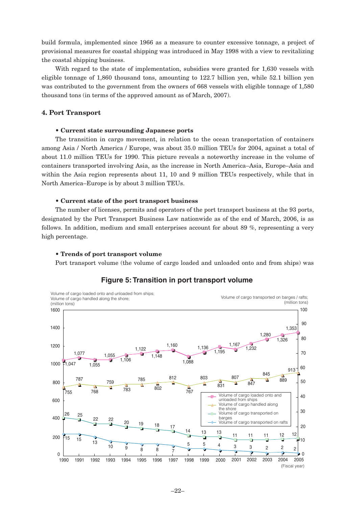build formula, implemented since 1966 as a measure to counter excessive tonnage, a project of provisional measures for coastal shipping was introduced in May 1998 with a view to revitalizing the coastal shipping business.

With regard to the state of implementation, subsidies were granted for 1,630 vessels with eligible tonnage of 1,860 thousand tons, amounting to 122.7 billion yen, while 52.1 billion yen was contributed to the government from the owners of 668 vessels with eligible tonnage of 1,580 thousand tons (in terms of the approved amount as of March, 2007).

#### **4. Port Transport**

#### • **Current state surrounding Japanese ports**

The transition in cargo movement, in relation to the ocean transportation of containers among Asia / North America / Europe, was about 35.0 million TEUs for 2004, against a total of about 11.0 million TEUs for 1990. This picture reveals a noteworthy increase in the volume of containers transported involving Asia, as the increase in North America–Asia, Europe–Asia and within the Asia region represents about 11, 10 and 9 million TEUs respectively, while that in North America–Europe is by about 3 million TEUs.

#### • **Current state of the port transport business**

The number of licenses, permits and operators of the port transport business at the 93 ports, designated by the Port Transport Business Law nationwide as of the end of March, 2006, is as follows. In addition, medium and small enterprises account for about 89 %, representing a very high percentage.

#### • **Trends of port transport volume**

Port transport volume (the volume of cargo loaded and unloaded onto and from ships) was

#### **Figure 5: Transition in port transport volume**

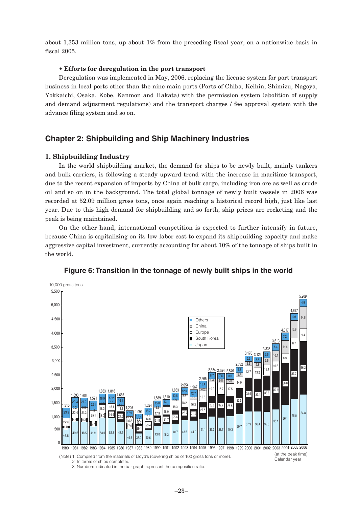about 1,353 million tons, up about 1% from the preceding fiscal year, on a nationwide basis in fiscal 2005.

#### • **Efforts for deregulation in the port transport**

Deregulation was implemented in May, 2006, replacing the license system for port transport business in local ports other than the nine main ports (Ports of Chiba, Keihin, Shimizu, Nagoya, Yokkaichi, Osaka, Kobe, Kanmon and Hakata) with the permission system (abolition of supply and demand adjustment regulations) and the transport charges / fee approval system with the advance filing system and so on.

#### **Chapter 2: Shipbuilding and Ship Machinery Industries**

#### **1. Shipbuilding Industry**

In the world shipbuilding market, the demand for ships to be newly built, mainly tankers and bulk carriers, is following a steady upward trend with the increase in maritime transport, due to the recent expansion of imports by China of bulk cargo, including iron ore as well as crude oil and so on in the background. The total global tonnage of newly built vessels in 2006 was recorded at 52.09 million gross tons, once again reaching a historical record high, just like last year. Due to this high demand for shipbuilding and so forth, ship prices are rocketing and the peak is being maintained.

On the other hand, international competition is expected to further intensify in future, because China is capitalizing on its low labor cost to expand its shipbuilding capacity and make aggressive capital investment, currently accounting for about 10% of the tonnage of ships built in the world.



#### **Figure 6: Transition in the tonnage of newly built ships in the world**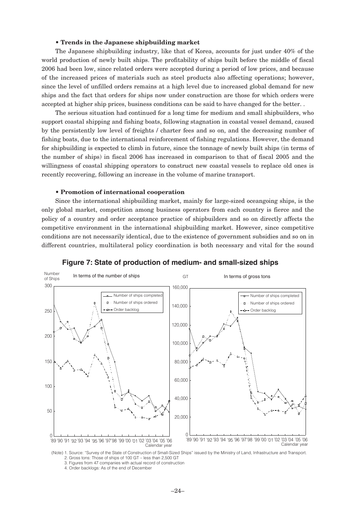#### • **Trends in the Japanese shipbuilding market**

The Japanese shipbuilding industry, like that of Korea, accounts for just under 40% of the world production of newly built ships. The profitability of ships built before the middle of fiscal 2006 had been low, since related orders were accepted during a period of low prices, and because of the increased prices of materials such as steel products also affecting operations; however, since the level of unfilled orders remains at a high level due to increased global demand for new ships and the fact that orders for ships now under construction are those for which orders were accepted at higher ship prices, business conditions can be said to have changed for the better. .

The serious situation had continued for a long time for medium and small shipbuilders, who support coastal shipping and fishing boats, following stagnation in coastal vessel demand, caused by the persistently low level of freights / charter fees and so on, and the decreasing number of fishing boats, due to the international reinforcement of fishing regulations. However, the demand for shipbuilding is expected to climb in future, since the tonnage of newly built ships (in terms of the number of ships) in fiscal 2006 has increased in comparison to that of fiscal 2005 and the willingness of coastal shipping operators to construct new coastal vessels to replace old ones is recently recovering, following an increase in the volume of marine transport.

#### • **Promotion of international cooperation**

Since the international shipbuilding market, mainly for large-sized oceangoing ships, is the only global market, competition among business operators from each country is fierce and the policy of a country and order acceptance practice of shipbuilders and so on directly affects the competitive environment in the international shipbuilding market. However, since competitive conditions are not necessarily identical, due to the existence of government subsidies and so on in different countries, multilateral policy coordination is both necessary and vital for the sound



#### **Figure 7: State of production of medium- and small-sized ships**

2. Gross tons: Those of ships of 100 GT – less than 2,500 GT

3. Figures from 47 companies with actual record of construction

 <sup>4.</sup> Order backlogs: As of the end of December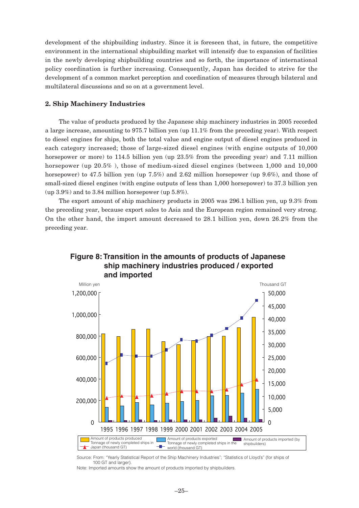development of the shipbuilding industry. Since it is foreseen that, in future, the competitive environment in the international shipbuilding market will intensify due to expansion of facilities in the newly developing shipbuilding countries and so forth, the importance of international policy coordination is further increasing. Consequently, Japan has decided to strive for the development of a common market perception and coordination of measures through bilateral and multilateral discussions and so on at a government level.

#### **2. Ship Machinery Industries**

The value of products produced by the Japanese ship machinery industries in 2005 recorded a large increase, amounting to 975.7 billion yen (up 11.1% from the preceding year). With respect to diesel engines for ships, both the total value and engine output of diesel engines produced in each category increased; those of large-sized diesel engines (with engine outputs of 10,000 horsepower or more) to 114.5 billion yen (up 23.5% from the preceding year) and 7.11 million horsepower (up 20.5% ), those of medium-sized diesel engines (between 1,000 and 10,000 horsepower) to 47.5 billion yen (up 7.5%) and 2.62 million horsepower (up 9.6%), and those of small-sized diesel engines (with engine outputs of less than 1,000 horsepower) to 37.3 billion yen (up 3.9%) and to 3.84 million horsepower (up 5.8%).

The export amount of ship machinery products in 2005 was 296.1 billion yen, up 9.3% from the preceding year, because export sales to Asia and the European region remained very strong. On the other hand, the import amount decreased to 28.1 billion yen, down 26.2% from the preceding year.





Source: From: "Yearly Statistical Report of the Ship Machinery Industries"; "Statistics of Lloyd's" (for ships of 100 GT and larger).

Note: Imported amounts show the amount of products imported by shipbuilders.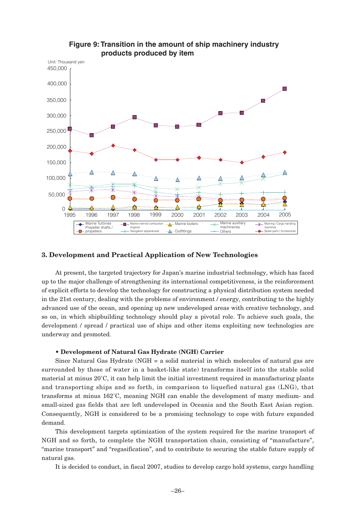

#### **Figure 9: Transition in the amount of ship machinery industry products produced by item**

#### **3. Development and Practical Application of New Technologies**

At present, the targeted trajectory for Japan's marine industrial technology, which has faced up to the major challenge of strengthening its international competitiveness, is the reinforcement of explicit efforts to develop the technology for constructing a physical distribution system needed in the 21st century, dealing with the problems of environment / energy, contributing to the highly advanced use of the ocean, and opening up new undeveloped areas with creative technology, and so on, in which shipbuilding technology should play a pivotal role. To achieve such goals, the development / spread / practical use of ships and other items exploiting new technologies are underway and promoted.

#### • **Development of Natural Gas Hydrate (NGH) Carrier**

Since Natural Gas Hydrate (NGH = a solid material in which molecules of natural gas are surrounded by those of water in a basket-like state) transforms itself into the stable solid material at minus 20˚C, it can help limit the initial investment required in manufacturing plants and transporting ships and so forth, in comparison to liquefied natural gas (LNG), that transforms at minus 162˚C, meaning NGH can enable the development of many medium- and small-sized gas fields that are left undeveloped in Oceania and the South East Asian region. Consequently, NGH is considered to be a promising technology to cope with future expanded demand.

This development targets optimization of the system required for the marine transport of NGH and so forth, to complete the NGH transportation chain, consisting of "manufacture", "marine transport" and "regasification", and to contribute to securing the stable future supply of natural gas.

It is decided to conduct, in fiscal 2007, studies to develop cargo hold systems, cargo handling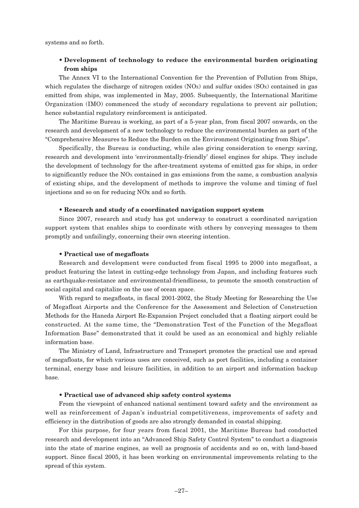systems and so forth.

#### • **Development of technology to reduce the environmental burden originating from ships**

The Annex VI to the International Convention for the Prevention of Pollution from Ships, which regulates the discharge of nitrogen oxides  $(NOx)$  and sulfur oxides  $(SOx)$  contained in gas emitted from ships, was implemented in May, 2005. Subsequently, the International Maritime Organization (IMO) commenced the study of secondary regulations to prevent air pollution; hence substantial regulatory reinforcement is anticipated.

The Maritime Bureau is working, as part of a 5-year plan, from fiscal 2007 onwards, on the research and development of a new technology to reduce the environmental burden as part of the "Comprehensive Measures to Reduce the Burden on the Environment Originating from Ships".

Specifically, the Bureau is conducting, while also giving consideration to energy saving, research and development into 'environmentally-friendly' diesel engines for ships. They include the development of technology for the after-treatment systems of emitted gas for ships, in order to significantly reduce the NOX contained in gas emissions from the same, a combustion analysis of existing ships, and the development of methods to improve the volume and timing of fuel injections and so on for reducing NOx and so forth.

#### • **Research and study of a coordinated navigation support system**

Since 2007, research and study has got underway to construct a coordinated navigation support system that enables ships to coordinate with others by conveying messages to them promptly and unfailingly, concerning their own steering intention.

#### • **Practical use of megafloats**

Research and development were conducted from fiscal 1995 to 2000 into megafloat, a product featuring the latest in cutting-edge technology from Japan, and including features such as earthquake-resistance and environmental-friendliness, to promote the smooth construction of social capital and capitalize on the use of ocean space.

With regard to megafloats, in fiscal 2001-2002, the Study Meeting for Researching the Use of Megafloat Airports and the Conference for the Assessment and Selection of Construction Methods for the Haneda Airport Re-Expansion Project concluded that a floating airport could be constructed. At the same time, the "Demonstration Test of the Function of the Megafloat Information Base" demonstrated that it could be used as an economical and highly reliable information base.

The Ministry of Land, Infrastructure and Transport promotes the practical use and spread of megafloats, for which various uses are conceived, such as port facilities, including a container terminal, energy base and leisure facilities, in addition to an airport and information backup base.

#### • **Practical use of advanced ship safety control systems**

From the viewpoint of enhanced national sentiment toward safety and the environment as well as reinforcement of Japan's industrial competitiveness, improvements of safety and efficiency in the distribution of goods are also strongly demanded in coastal shipping.

For this purpose, for four years from fiscal 2001, the Maritime Bureau had conducted research and development into an "Advanced Ship Safety Control System" to conduct a diagnosis into the state of marine engines, as well as prognosis of accidents and so on, with land-based support. Since fiscal 2005, it has been working on environmental improvements relating to the spread of this system.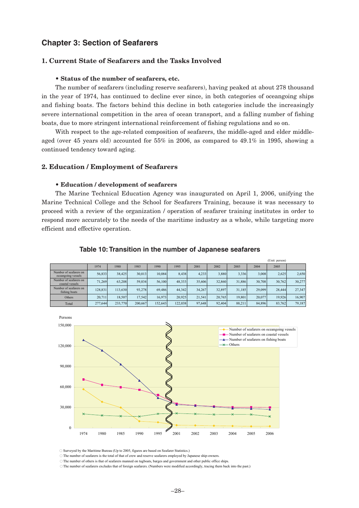#### **Chapter 3: Section of Seafarers**

#### **1. Current State of Seafarers and the Tasks Involved**

#### • **Status of the number of seafarers, etc.**

The number of seafarers (including reserve seafarers), having peaked at about 278 thousand in the year of 1974, has continued to decline ever since, in both categories of oceangoing ships and fishing boats. The factors behind this decline in both categories include the increasingly severe international competition in the area of ocean transport, and a falling number of fishing boats, due to more stringent international reinforcement of fishing regulations and so on.

With respect to the age-related composition of seafarers, the middle-aged and elder middleaged (over 45 years old) accounted for 55% in 2006, as compared to 49.1% in 1995, showing a continued tendency toward aging.

#### **2. Education / Employment of Seafarers**

#### • **Education / development of seafarers**

The Marine Technical Education Agency was inaugurated on April 1, 2006, unifying the Marine Technical College and the School for Seafarers Training, because it was necessary to proceed with a review of the organization / operation of seafarer training institutes in order to respond more accurately to the needs of the maritime industry as a whole, while targeting more efficient and effective operation.

|                                              |         |         |         |         |         |        |        |        |        | tome person) |        |
|----------------------------------------------|---------|---------|---------|---------|---------|--------|--------|--------|--------|--------------|--------|
|                                              | 1974    | 1980    | 1985    | 1990    | 1995    | 2001   | 2002   | 2003   | 2004   | 2005         |        |
| Number of seafarers on<br>oceangoing vessels | 56,833  | 38,425  | 30.013  | 10.084  | 8.438   | 4.233  | 3,880  | 3,336  | 3,008  | 2,625        | 2,650  |
| Number of seafarers on<br>coastal vessels    | 71.269  | 63.208  | 59.834  | 56.100  | 48,333  | 35,606 | 32.860 | 31.886 | 30.708 | 30,762       | 30,277 |
| Number of seafarers on<br>fishing boats      | 128,831 | 113.630 | 93.278  | 69.486  | 44.342  | 34.267 | 32.897 | 31.185 | 29.099 | 28.444       | 27.347 |
| Others                                       | 20.711  | 18.507  | 17.542  | 16.973  | 20.925  | 21.541 | 20.765 | 19.801 | 20.077 | 19.926       | 16.907 |
| Total                                        | 277.644 | 233,770 | 200.667 | 152.643 | 122.038 | 97.648 | 92.404 | 88.211 | 84.896 | 83,762       | 79,187 |

 $(T)$  for the person

#### **Table 10: Transition in the number of Japanese seafarers**



○ Surveyed by the Maritime Bureau (Up to 2005, figures are based on Seafarer Statistics.)

○ The number of seafarers is the total of that of crew and reserve seafarers employed by Japanese ship-owners.

○ The number of others is that of seafarers manned on tugboats, barges and government and other public office ships.

○ The number of seafarers excludes that of foreign seafarers. (Numbers were modified accordingly, tracing them back into the past.)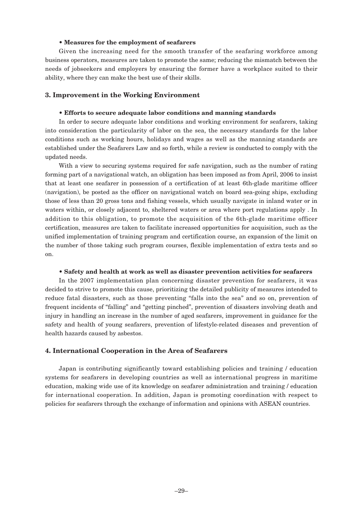#### • **Measures for the employment of seafarers**

Given the increasing need for the smooth transfer of the seafaring workforce among business operators, measures are taken to promote the same; reducing the mismatch between the needs of jobseekers and employers by ensuring the former have a workplace suited to their ability, where they can make the best use of their skills.

#### **3. Improvement in the Working Environment**

#### • **Efforts to secure adequate labor conditions and manning standards**

In order to secure adequate labor conditions and working environment for seafarers, taking into consideration the particularity of labor on the sea, the necessary standards for the labor conditions such as working hours, holidays and wages as well as the manning standards are established under the Seafarers Law and so forth, while a review is conducted to comply with the updated needs.

With a view to securing systems required for safe navigation, such as the number of rating forming part of a navigational watch, an obligation has been imposed as from April, 2006 to insist that at least one seafarer in possession of a certification of at least 6th-glade maritime officer (navigation), be posted as the officer on navigational watch on board sea-going ships, excluding those of less than 20 gross tons and fishing vessels, which usually navigate in inland water or in waters within, or closely adjacent to, sheltered waters or area where port regulations apply . In addition to this obligation, to promote the acquisition of the 6th-glade maritime officer certification, measures are taken to facilitate increased opportunities for acquisition, such as the unified implementation of training program and certification course, an expansion of the limit on the number of those taking such program courses, flexible implementation of extra tests and so on.

#### • **Safety and health at work as well as disaster prevention activities for seafarers**

In the 2007 implementation plan concerning disaster prevention for seafarers, it was decided to strive to promote this cause, prioritizing the detailed publicity of measures intended to reduce fatal disasters, such as those preventing "falls into the sea" and so on, prevention of frequent incidents of "falling" and "getting pinched", prevention of disasters involving death and injury in handling an increase in the number of aged seafarers, improvement in guidance for the safety and health of young seafarers, prevention of lifestyle-related diseases and prevention of health hazards caused by asbestos.

#### **4. International Cooperation in the Area of Seafarers**

Japan is contributing significantly toward establishing policies and training / education systems for seafarers in developing countries as well as international progress in maritime education, making wide use of its knowledge on seafarer administration and training / education for international cooperation. In addition, Japan is promoting coordination with respect to policies for seafarers through the exchange of information and opinions with ASEAN countries.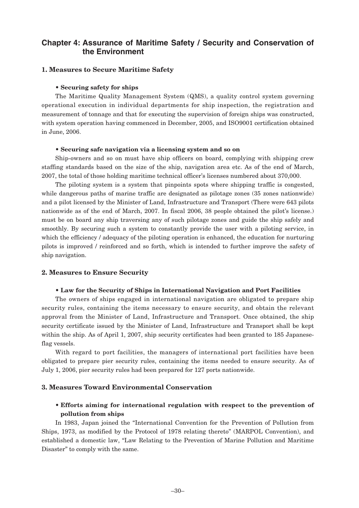#### **Chapter 4: Assurance of Maritime Safety / Security and Conservation of the Environment**

#### **1. Measures to Secure Maritime Safety**

#### • **Securing safety for ships**

The Maritime Quality Management System (QMS), a quality control system governing operational execution in individual departments for ship inspection, the registration and measurement of tonnage and that for executing the supervision of foreign ships was constructed, with system operation having commenced in December, 2005, and ISO9001 certification obtained in June, 2006.

#### • **Securing safe navigation via a licensing system and so on**

Ship-owners and so on must have ship officers on board, complying with shipping crew staffing standards based on the size of the ship, navigation area etc. As of the end of March, 2007, the total of those holding maritime technical officer's licenses numbered about 370,000.

The piloting system is a system that pinpoints spots where shipping traffic is congested, while dangerous paths of marine traffic are designated as pilotage zones (35 zones nationwide) and a pilot licensed by the Minister of Land, Infrastructure and Transport (There were 643 pilots nationwide as of the end of March, 2007. In fiscal 2006, 38 people obtained the pilot's license.) must be on board any ship traversing any of such pilotage zones and guide the ship safely and smoothly. By securing such a system to constantly provide the user with a piloting service, in which the efficiency / adequacy of the piloting operation is enhanced, the education for nurturing pilots is improved / reinforced and so forth, which is intended to further improve the safety of ship navigation.

#### **2. Measures to Ensure Security**

#### • **Law for the Security of Ships in International Navigation and Port Facilities**

The owners of ships engaged in international navigation are obligated to prepare ship security rules, containing the items necessary to ensure security, and obtain the relevant approval from the Minister of Land, Infrastructure and Transport. Once obtained, the ship security certificate issued by the Minister of Land, Infrastructure and Transport shall be kept within the ship. As of April 1, 2007, ship security certificates had been granted to 185 Japaneseflag vessels.

With regard to port facilities, the managers of international port facilities have been obligated to prepare pier security rules, containing the items needed to ensure security. As of July 1, 2006, pier security rules had been prepared for 127 ports nationwide.

#### **3. Measures Toward Environmental Conservation**

#### • **Efforts aiming for international regulation with respect to the prevention of pollution from ships**

In 1983, Japan joined the "International Convention for the Prevention of Pollution from Ships, 1973, as modified by the Protocol of 1978 relating thereto" (MARPOL Convention), and established a domestic law, "Law Relating to the Prevention of Marine Pollution and Maritime Disaster" to comply with the same.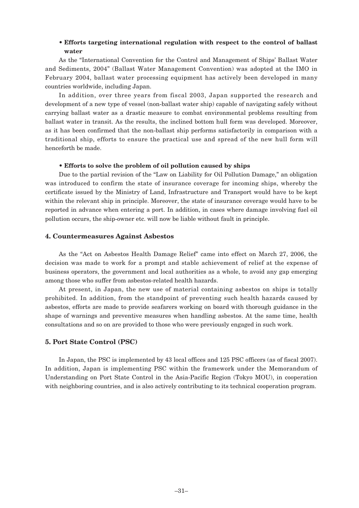#### • **Efforts targeting international regulation with respect to the control of ballast water**

As the "International Convention for the Control and Management of Ships' Ballast Water and Sediments, 2004" (Ballast Water Management Convention) was adopted at the IMO in February 2004, ballast water processing equipment has actively been developed in many countries worldwide, including Japan.

In addition, over three years from fiscal 2003, Japan supported the research and development of a new type of vessel (non-ballast water ship) capable of navigating safely without carrying ballast water as a drastic measure to combat environmental problems resulting from ballast water in transit. As the results, the inclined bottom hull form was developed. Moreover, as it has been confirmed that the non-ballast ship performs satisfactorily in comparison with a traditional ship, efforts to ensure the practical use and spread of the new hull form will henceforth be made.

#### • **Efforts to solve the problem of oil pollution caused by ships**

Due to the partial revision of the "Law on Liability for Oil Pollution Damage," an obligation was introduced to confirm the state of insurance coverage for incoming ships, whereby the certificate issued by the Ministry of Land, Infrastructure and Transport would have to be kept within the relevant ship in principle. Moreover, the state of insurance coverage would have to be reported in advance when entering a port. In addition, in cases where damage involving fuel oil pollution occurs, the ship-owner etc. will now be liable without fault in principle.

#### **4. Countermeasures Against Asbestos**

As the "Act on Asbestos Health Damage Relief" came into effect on March 27, 2006, the decision was made to work for a prompt and stable achievement of relief at the expense of business operators, the government and local authorities as a whole, to avoid any gap emerging among those who suffer from asbestos-related health hazards.

At present, in Japan, the new use of material containing asbestos on ships is totally prohibited. In addition, from the standpoint of preventing such health hazards caused by asbestos, efforts are made to provide seafarers working on board with thorough guidance in the shape of warnings and preventive measures when handling asbestos. At the same time, health consultations and so on are provided to those who were previously engaged in such work.

#### **5. Port State Control (PSC)**

In Japan, the PSC is implemented by 43 local offices and 125 PSC officers (as of fiscal 2007). In addition, Japan is implementing PSC within the framework under the Memorandum of Understanding on Port State Control in the Asia-Pacific Region (Tokyo MOU), in cooperation with neighboring countries, and is also actively contributing to its technical cooperation program.